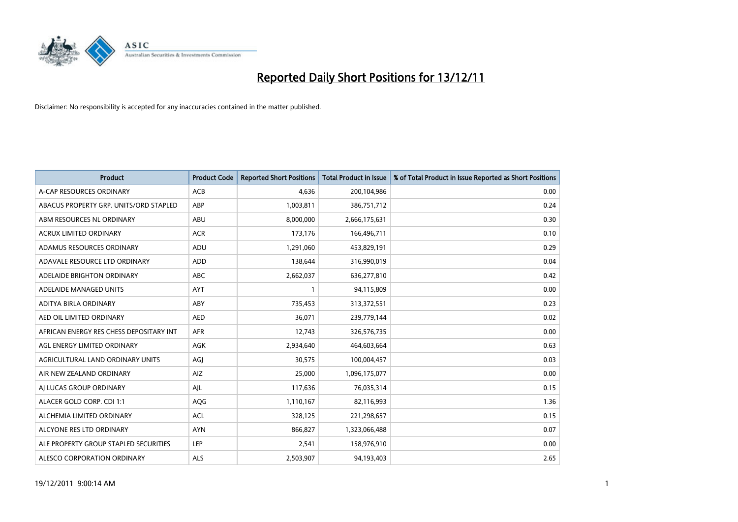

| <b>Product</b>                          | <b>Product Code</b> | <b>Reported Short Positions</b> | <b>Total Product in Issue</b> | % of Total Product in Issue Reported as Short Positions |
|-----------------------------------------|---------------------|---------------------------------|-------------------------------|---------------------------------------------------------|
| A-CAP RESOURCES ORDINARY                | <b>ACB</b>          | 4,636                           | 200,104,986                   | 0.00                                                    |
| ABACUS PROPERTY GRP. UNITS/ORD STAPLED  | ABP                 | 1,003,811                       | 386,751,712                   | 0.24                                                    |
| ABM RESOURCES NL ORDINARY               | ABU                 | 8,000,000                       | 2,666,175,631                 | 0.30                                                    |
| ACRUX LIMITED ORDINARY                  | <b>ACR</b>          | 173,176                         | 166,496,711                   | 0.10                                                    |
| ADAMUS RESOURCES ORDINARY               | ADU                 | 1,291,060                       | 453,829,191                   | 0.29                                                    |
| ADAVALE RESOURCE LTD ORDINARY           | <b>ADD</b>          | 138,644                         | 316,990,019                   | 0.04                                                    |
| ADELAIDE BRIGHTON ORDINARY              | <b>ABC</b>          | 2,662,037                       | 636,277,810                   | 0.42                                                    |
| ADELAIDE MANAGED UNITS                  | <b>AYT</b>          |                                 | 94,115,809                    | 0.00                                                    |
| ADITYA BIRLA ORDINARY                   | ABY                 | 735,453                         | 313,372,551                   | 0.23                                                    |
| AED OIL LIMITED ORDINARY                | <b>AED</b>          | 36,071                          | 239,779,144                   | 0.02                                                    |
| AFRICAN ENERGY RES CHESS DEPOSITARY INT | <b>AFR</b>          | 12,743                          | 326,576,735                   | 0.00                                                    |
| AGL ENERGY LIMITED ORDINARY             | <b>AGK</b>          | 2,934,640                       | 464,603,664                   | 0.63                                                    |
| AGRICULTURAL LAND ORDINARY UNITS        | AGI                 | 30,575                          | 100,004,457                   | 0.03                                                    |
| AIR NEW ZEALAND ORDINARY                | AIZ                 | 25,000                          | 1,096,175,077                 | 0.00                                                    |
| AI LUCAS GROUP ORDINARY                 | AJL                 | 117,636                         | 76,035,314                    | 0.15                                                    |
| ALACER GOLD CORP. CDI 1:1               | <b>AQG</b>          | 1,110,167                       | 82,116,993                    | 1.36                                                    |
| ALCHEMIA LIMITED ORDINARY               | <b>ACL</b>          | 328,125                         | 221,298,657                   | 0.15                                                    |
| ALCYONE RES LTD ORDINARY                | <b>AYN</b>          | 866,827                         | 1,323,066,488                 | 0.07                                                    |
| ALE PROPERTY GROUP STAPLED SECURITIES   | LEP                 | 2,541                           | 158,976,910                   | 0.00                                                    |
| ALESCO CORPORATION ORDINARY             | ALS                 | 2,503,907                       | 94,193,403                    | 2.65                                                    |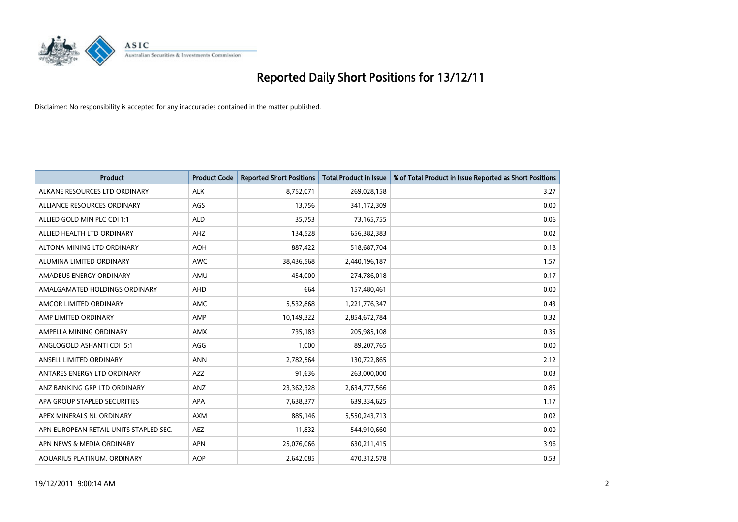

| <b>Product</b>                         | <b>Product Code</b> | <b>Reported Short Positions</b> | <b>Total Product in Issue</b> | % of Total Product in Issue Reported as Short Positions |
|----------------------------------------|---------------------|---------------------------------|-------------------------------|---------------------------------------------------------|
| ALKANE RESOURCES LTD ORDINARY          | <b>ALK</b>          | 8,752,071                       | 269,028,158                   | 3.27                                                    |
| ALLIANCE RESOURCES ORDINARY            | AGS                 | 13,756                          | 341,172,309                   | 0.00                                                    |
| ALLIED GOLD MIN PLC CDI 1:1            | <b>ALD</b>          | 35,753                          | 73,165,755                    | 0.06                                                    |
| ALLIED HEALTH LTD ORDINARY             | AHZ                 | 134,528                         | 656,382,383                   | 0.02                                                    |
| ALTONA MINING LTD ORDINARY             | <b>AOH</b>          | 887,422                         | 518,687,704                   | 0.18                                                    |
| ALUMINA LIMITED ORDINARY               | <b>AWC</b>          | 38,436,568                      | 2,440,196,187                 | 1.57                                                    |
| AMADEUS ENERGY ORDINARY                | AMU                 | 454.000                         | 274,786,018                   | 0.17                                                    |
| AMALGAMATED HOLDINGS ORDINARY          | <b>AHD</b>          | 664                             | 157,480,461                   | 0.00                                                    |
| AMCOR LIMITED ORDINARY                 | <b>AMC</b>          | 5,532,868                       | 1,221,776,347                 | 0.43                                                    |
| AMP LIMITED ORDINARY                   | AMP                 | 10,149,322                      | 2,854,672,784                 | 0.32                                                    |
| AMPELLA MINING ORDINARY                | <b>AMX</b>          | 735,183                         | 205,985,108                   | 0.35                                                    |
| ANGLOGOLD ASHANTI CDI 5:1              | AGG                 | 1,000                           | 89,207,765                    | 0.00                                                    |
| ANSELL LIMITED ORDINARY                | <b>ANN</b>          | 2,782,564                       | 130,722,865                   | 2.12                                                    |
| ANTARES ENERGY LTD ORDINARY            | <b>AZZ</b>          | 91,636                          | 263,000,000                   | 0.03                                                    |
| ANZ BANKING GRP LTD ORDINARY           | ANZ                 | 23,362,328                      | 2,634,777,566                 | 0.85                                                    |
| APA GROUP STAPLED SECURITIES           | APA                 | 7,638,377                       | 639,334,625                   | 1.17                                                    |
| APEX MINERALS NL ORDINARY              | <b>AXM</b>          | 885,146                         | 5,550,243,713                 | 0.02                                                    |
| APN EUROPEAN RETAIL UNITS STAPLED SEC. | <b>AEZ</b>          | 11,832                          | 544,910,660                   | 0.00                                                    |
| APN NEWS & MEDIA ORDINARY              | <b>APN</b>          | 25,076,066                      | 630,211,415                   | 3.96                                                    |
| AQUARIUS PLATINUM. ORDINARY            | <b>AOP</b>          | 2,642,085                       | 470,312,578                   | 0.53                                                    |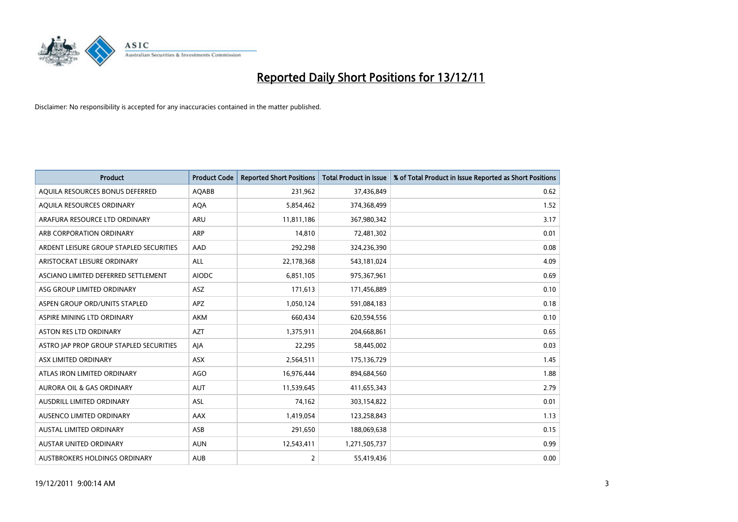

| <b>Product</b>                          | <b>Product Code</b> | <b>Reported Short Positions</b> | <b>Total Product in Issue</b> | % of Total Product in Issue Reported as Short Positions |
|-----------------------------------------|---------------------|---------------------------------|-------------------------------|---------------------------------------------------------|
| AQUILA RESOURCES BONUS DEFERRED         | AQABB               | 231,962                         | 37,436,849                    | 0.62                                                    |
| AQUILA RESOURCES ORDINARY               | <b>AQA</b>          | 5,854,462                       | 374,368,499                   | 1.52                                                    |
| ARAFURA RESOURCE LTD ORDINARY           | <b>ARU</b>          | 11,811,186                      | 367,980,342                   | 3.17                                                    |
| ARB CORPORATION ORDINARY                | <b>ARP</b>          | 14,810                          | 72,481,302                    | 0.01                                                    |
| ARDENT LEISURE GROUP STAPLED SECURITIES | AAD                 | 292,298                         | 324,236,390                   | 0.08                                                    |
| ARISTOCRAT LEISURE ORDINARY             | <b>ALL</b>          | 22,178,368                      | 543,181,024                   | 4.09                                                    |
| ASCIANO LIMITED DEFERRED SETTLEMENT     | <b>AIODC</b>        | 6,851,105                       | 975,367,961                   | 0.69                                                    |
| ASG GROUP LIMITED ORDINARY              | <b>ASZ</b>          | 171,613                         | 171,456,889                   | 0.10                                                    |
| ASPEN GROUP ORD/UNITS STAPLED           | <b>APZ</b>          | 1,050,124                       | 591,084,183                   | 0.18                                                    |
| ASPIRE MINING LTD ORDINARY              | <b>AKM</b>          | 660,434                         | 620,594,556                   | 0.10                                                    |
| ASTON RES LTD ORDINARY                  | <b>AZT</b>          | 1,375,911                       | 204,668,861                   | 0.65                                                    |
| ASTRO JAP PROP GROUP STAPLED SECURITIES | AJA                 | 22,295                          | 58,445,002                    | 0.03                                                    |
| ASX LIMITED ORDINARY                    | ASX                 | 2,564,511                       | 175,136,729                   | 1.45                                                    |
| ATLAS IRON LIMITED ORDINARY             | AGO                 | 16,976,444                      | 894,684,560                   | 1.88                                                    |
| <b>AURORA OIL &amp; GAS ORDINARY</b>    | <b>AUT</b>          | 11,539,645                      | 411,655,343                   | 2.79                                                    |
| AUSDRILL LIMITED ORDINARY               | <b>ASL</b>          | 74,162                          | 303,154,822                   | 0.01                                                    |
| AUSENCO LIMITED ORDINARY                | AAX                 | 1,419,054                       | 123,258,843                   | 1.13                                                    |
| AUSTAL LIMITED ORDINARY                 | ASB                 | 291,650                         | 188,069,638                   | 0.15                                                    |
| <b>AUSTAR UNITED ORDINARY</b>           | <b>AUN</b>          | 12,543,411                      | 1,271,505,737                 | 0.99                                                    |
| AUSTBROKERS HOLDINGS ORDINARY           | <b>AUB</b>          | 2                               | 55,419,436                    | 0.00                                                    |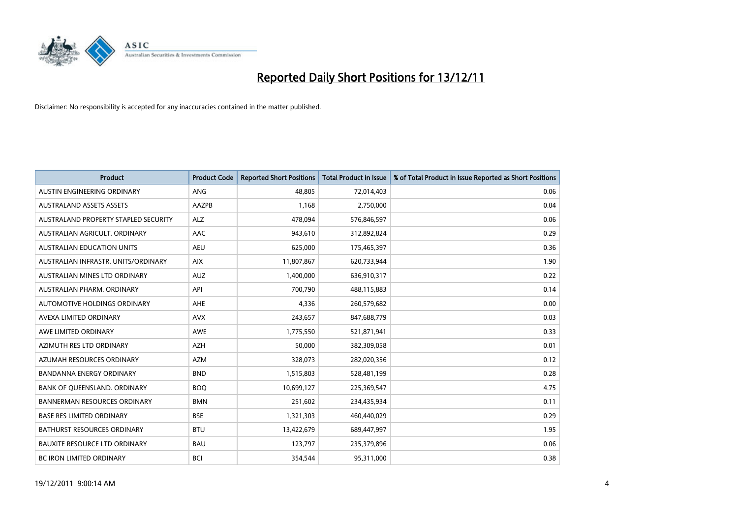

| <b>Product</b>                       | <b>Product Code</b> | <b>Reported Short Positions</b> | Total Product in Issue | % of Total Product in Issue Reported as Short Positions |
|--------------------------------------|---------------------|---------------------------------|------------------------|---------------------------------------------------------|
| AUSTIN ENGINEERING ORDINARY          | <b>ANG</b>          | 48.805                          | 72,014,403             | 0.06                                                    |
| <b>AUSTRALAND ASSETS ASSETS</b>      | AAZPB               | 1,168                           | 2,750,000              | 0.04                                                    |
| AUSTRALAND PROPERTY STAPLED SECURITY | <b>ALZ</b>          | 478,094                         | 576,846,597            | 0.06                                                    |
| AUSTRALIAN AGRICULT. ORDINARY        | AAC                 | 943,610                         | 312,892,824            | 0.29                                                    |
| <b>AUSTRALIAN EDUCATION UNITS</b>    | <b>AEU</b>          | 625,000                         | 175,465,397            | 0.36                                                    |
| AUSTRALIAN INFRASTR. UNITS/ORDINARY  | <b>AIX</b>          | 11,807,867                      | 620,733,944            | 1.90                                                    |
| AUSTRALIAN MINES LTD ORDINARY        | <b>AUZ</b>          | 1,400,000                       | 636,910,317            | 0.22                                                    |
| AUSTRALIAN PHARM. ORDINARY           | API                 | 700,790                         | 488,115,883            | 0.14                                                    |
| AUTOMOTIVE HOLDINGS ORDINARY         | <b>AHE</b>          | 4,336                           | 260,579,682            | 0.00                                                    |
| AVEXA LIMITED ORDINARY               | <b>AVX</b>          | 243,657                         | 847,688,779            | 0.03                                                    |
| AWE LIMITED ORDINARY                 | AWE                 | 1,775,550                       | 521,871,941            | 0.33                                                    |
| AZIMUTH RES LTD ORDINARY             | <b>AZH</b>          | 50,000                          | 382,309,058            | 0.01                                                    |
| AZUMAH RESOURCES ORDINARY            | <b>AZM</b>          | 328,073                         | 282,020,356            | 0.12                                                    |
| <b>BANDANNA ENERGY ORDINARY</b>      | <b>BND</b>          | 1,515,803                       | 528,481,199            | 0.28                                                    |
| BANK OF QUEENSLAND. ORDINARY         | <b>BOQ</b>          | 10,699,127                      | 225,369,547            | 4.75                                                    |
| <b>BANNERMAN RESOURCES ORDINARY</b>  | <b>BMN</b>          | 251,602                         | 234,435,934            | 0.11                                                    |
| <b>BASE RES LIMITED ORDINARY</b>     | <b>BSE</b>          | 1,321,303                       | 460,440,029            | 0.29                                                    |
| <b>BATHURST RESOURCES ORDINARY</b>   | <b>BTU</b>          | 13,422,679                      | 689,447,997            | 1.95                                                    |
| <b>BAUXITE RESOURCE LTD ORDINARY</b> | <b>BAU</b>          | 123,797                         | 235,379,896            | 0.06                                                    |
| <b>BC IRON LIMITED ORDINARY</b>      | <b>BCI</b>          | 354.544                         | 95,311,000             | 0.38                                                    |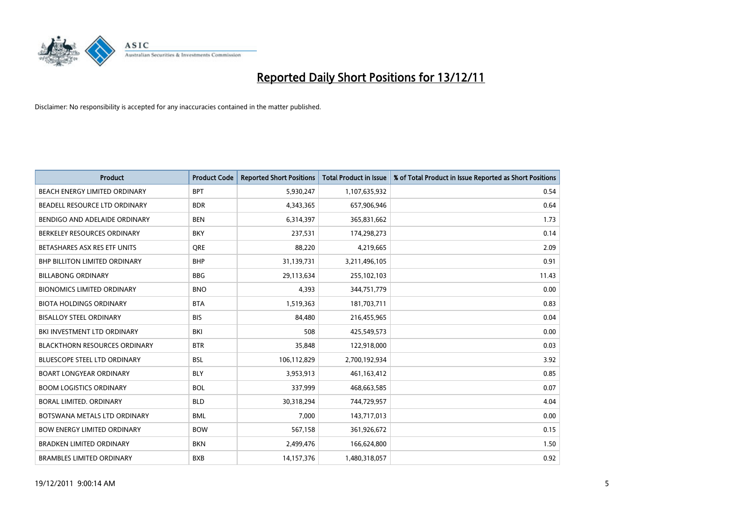

| <b>Product</b>                       | <b>Product Code</b> | <b>Reported Short Positions</b> | <b>Total Product in Issue</b> | % of Total Product in Issue Reported as Short Positions |
|--------------------------------------|---------------------|---------------------------------|-------------------------------|---------------------------------------------------------|
| <b>BEACH ENERGY LIMITED ORDINARY</b> | <b>BPT</b>          | 5,930,247                       | 1,107,635,932                 | 0.54                                                    |
| BEADELL RESOURCE LTD ORDINARY        | <b>BDR</b>          | 4,343,365                       | 657,906,946                   | 0.64                                                    |
| BENDIGO AND ADELAIDE ORDINARY        | <b>BEN</b>          | 6,314,397                       | 365,831,662                   | 1.73                                                    |
| BERKELEY RESOURCES ORDINARY          | <b>BKY</b>          | 237,531                         | 174,298,273                   | 0.14                                                    |
| BETASHARES ASX RES ETF UNITS         | <b>ORE</b>          | 88,220                          | 4,219,665                     | 2.09                                                    |
| <b>BHP BILLITON LIMITED ORDINARY</b> | <b>BHP</b>          | 31,139,731                      | 3,211,496,105                 | 0.91                                                    |
| <b>BILLABONG ORDINARY</b>            | <b>BBG</b>          | 29,113,634                      | 255,102,103                   | 11.43                                                   |
| <b>BIONOMICS LIMITED ORDINARY</b>    | <b>BNO</b>          | 4,393                           | 344,751,779                   | 0.00                                                    |
| <b>BIOTA HOLDINGS ORDINARY</b>       | <b>BTA</b>          | 1,519,363                       | 181,703,711                   | 0.83                                                    |
| <b>BISALLOY STEEL ORDINARY</b>       | <b>BIS</b>          | 84.480                          | 216,455,965                   | 0.04                                                    |
| BKI INVESTMENT LTD ORDINARY          | BKI                 | 508                             | 425,549,573                   | 0.00                                                    |
| <b>BLACKTHORN RESOURCES ORDINARY</b> | <b>BTR</b>          | 35,848                          | 122,918,000                   | 0.03                                                    |
| <b>BLUESCOPE STEEL LTD ORDINARY</b>  | <b>BSL</b>          | 106,112,829                     | 2,700,192,934                 | 3.92                                                    |
| <b>BOART LONGYEAR ORDINARY</b>       | <b>BLY</b>          | 3,953,913                       | 461,163,412                   | 0.85                                                    |
| <b>BOOM LOGISTICS ORDINARY</b>       | <b>BOL</b>          | 337,999                         | 468,663,585                   | 0.07                                                    |
| BORAL LIMITED. ORDINARY              | <b>BLD</b>          | 30,318,294                      | 744,729,957                   | 4.04                                                    |
| BOTSWANA METALS LTD ORDINARY         | <b>BML</b>          | 7,000                           | 143,717,013                   | 0.00                                                    |
| <b>BOW ENERGY LIMITED ORDINARY</b>   | <b>BOW</b>          | 567,158                         | 361,926,672                   | 0.15                                                    |
| <b>BRADKEN LIMITED ORDINARY</b>      | <b>BKN</b>          | 2,499,476                       | 166,624,800                   | 1.50                                                    |
| <b>BRAMBLES LIMITED ORDINARY</b>     | <b>BXB</b>          | 14,157,376                      | 1,480,318,057                 | 0.92                                                    |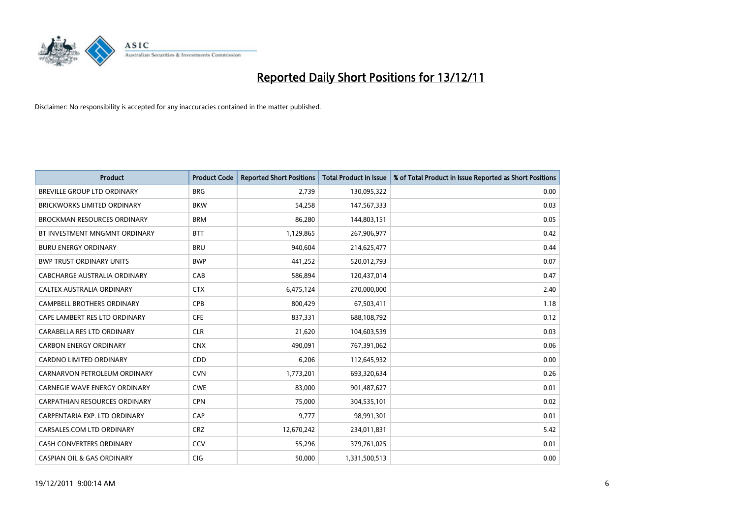

| <b>Product</b>                        | <b>Product Code</b> | <b>Reported Short Positions</b> | Total Product in Issue | % of Total Product in Issue Reported as Short Positions |
|---------------------------------------|---------------------|---------------------------------|------------------------|---------------------------------------------------------|
| BREVILLE GROUP LTD ORDINARY           | <b>BRG</b>          | 2,739                           | 130,095,322            | 0.00                                                    |
| <b>BRICKWORKS LIMITED ORDINARY</b>    | <b>BKW</b>          | 54,258                          | 147,567,333            | 0.03                                                    |
| <b>BROCKMAN RESOURCES ORDINARY</b>    | <b>BRM</b>          | 86,280                          | 144,803,151            | 0.05                                                    |
| BT INVESTMENT MNGMNT ORDINARY         | <b>BTT</b>          | 1,129,865                       | 267,906,977            | 0.42                                                    |
| <b>BURU ENERGY ORDINARY</b>           | <b>BRU</b>          | 940,604                         | 214,625,477            | 0.44                                                    |
| <b>BWP TRUST ORDINARY UNITS</b>       | <b>BWP</b>          | 441,252                         | 520,012,793            | 0.07                                                    |
| CABCHARGE AUSTRALIA ORDINARY          | CAB                 | 586.894                         | 120,437,014            | 0.47                                                    |
| CALTEX AUSTRALIA ORDINARY             | <b>CTX</b>          | 6,475,124                       | 270,000,000            | 2.40                                                    |
| <b>CAMPBELL BROTHERS ORDINARY</b>     | <b>CPB</b>          | 800,429                         | 67,503,411             | 1.18                                                    |
| CAPE LAMBERT RES LTD ORDINARY         | <b>CFE</b>          | 837,331                         | 688,108,792            | 0.12                                                    |
| CARABELLA RES LTD ORDINARY            | <b>CLR</b>          | 21,620                          | 104,603,539            | 0.03                                                    |
| <b>CARBON ENERGY ORDINARY</b>         | <b>CNX</b>          | 490,091                         | 767,391,062            | 0.06                                                    |
| <b>CARDNO LIMITED ORDINARY</b>        | <b>CDD</b>          | 6,206                           | 112,645,932            | 0.00                                                    |
| CARNARVON PETROLEUM ORDINARY          | <b>CVN</b>          | 1,773,201                       | 693,320,634            | 0.26                                                    |
| <b>CARNEGIE WAVE ENERGY ORDINARY</b>  | <b>CWE</b>          | 83.000                          | 901,487,627            | 0.01                                                    |
| <b>CARPATHIAN RESOURCES ORDINARY</b>  | <b>CPN</b>          | 75,000                          | 304,535,101            | 0.02                                                    |
| CARPENTARIA EXP. LTD ORDINARY         | CAP                 | 9,777                           | 98,991,301             | 0.01                                                    |
| CARSALES.COM LTD ORDINARY             | <b>CRZ</b>          | 12,670,242                      | 234,011,831            | 5.42                                                    |
| CASH CONVERTERS ORDINARY              | CCV                 | 55,296                          | 379,761,025            | 0.01                                                    |
| <b>CASPIAN OIL &amp; GAS ORDINARY</b> | <b>CIG</b>          | 50.000                          | 1,331,500,513          | 0.00                                                    |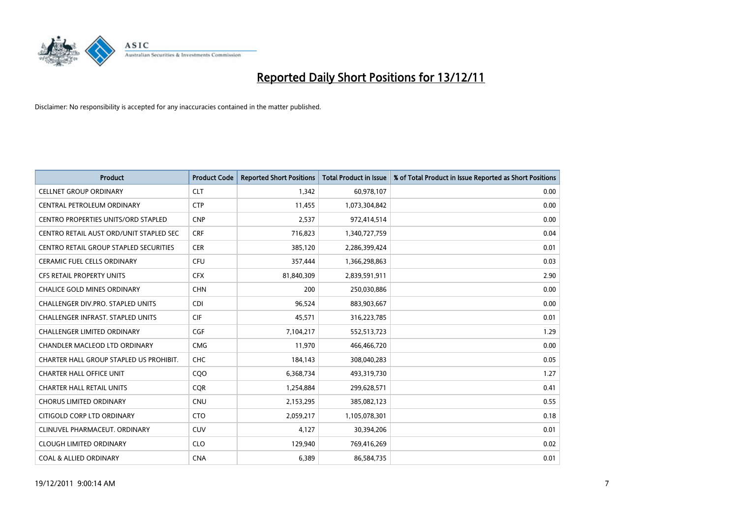

| <b>Product</b>                             | <b>Product Code</b> | <b>Reported Short Positions</b> | Total Product in Issue | % of Total Product in Issue Reported as Short Positions |
|--------------------------------------------|---------------------|---------------------------------|------------------------|---------------------------------------------------------|
| <b>CELLNET GROUP ORDINARY</b>              | <b>CLT</b>          | 1,342                           | 60,978,107             | 0.00                                                    |
| CENTRAL PETROLEUM ORDINARY                 | <b>CTP</b>          | 11,455                          | 1,073,304,842          | 0.00                                                    |
| <b>CENTRO PROPERTIES UNITS/ORD STAPLED</b> | <b>CNP</b>          | 2,537                           | 972,414,514            | 0.00                                                    |
| CENTRO RETAIL AUST ORD/UNIT STAPLED SEC    | <b>CRF</b>          | 716,823                         | 1,340,727,759          | 0.04                                                    |
| CENTRO RETAIL GROUP STAPLED SECURITIES     | <b>CER</b>          | 385,120                         | 2,286,399,424          | 0.01                                                    |
| <b>CERAMIC FUEL CELLS ORDINARY</b>         | <b>CFU</b>          | 357,444                         | 1,366,298,863          | 0.03                                                    |
| <b>CFS RETAIL PROPERTY UNITS</b>           | <b>CFX</b>          | 81,840,309                      | 2,839,591,911          | 2.90                                                    |
| <b>CHALICE GOLD MINES ORDINARY</b>         | <b>CHN</b>          | 200                             | 250,030,886            | 0.00                                                    |
| CHALLENGER DIV.PRO. STAPLED UNITS          | <b>CDI</b>          | 96,524                          | 883,903,667            | 0.00                                                    |
| <b>CHALLENGER INFRAST, STAPLED UNITS</b>   | <b>CIF</b>          | 45,571                          | 316,223,785            | 0.01                                                    |
| <b>CHALLENGER LIMITED ORDINARY</b>         | <b>CGF</b>          | 7,104,217                       | 552,513,723            | 1.29                                                    |
| <b>CHANDLER MACLEOD LTD ORDINARY</b>       | <b>CMG</b>          | 11,970                          | 466,466,720            | 0.00                                                    |
| CHARTER HALL GROUP STAPLED US PROHIBIT.    | <b>CHC</b>          | 184,143                         | 308,040,283            | 0.05                                                    |
| <b>CHARTER HALL OFFICE UNIT</b>            | CQO                 | 6,368,734                       | 493,319,730            | 1.27                                                    |
| <b>CHARTER HALL RETAIL UNITS</b>           | <b>COR</b>          | 1,254,884                       | 299,628,571            | 0.41                                                    |
| <b>CHORUS LIMITED ORDINARY</b>             | <b>CNU</b>          | 2,153,295                       | 385,082,123            | 0.55                                                    |
| CITIGOLD CORP LTD ORDINARY                 | <b>CTO</b>          | 2,059,217                       | 1,105,078,301          | 0.18                                                    |
| CLINUVEL PHARMACEUT. ORDINARY              | <b>CUV</b>          | 4,127                           | 30,394,206             | 0.01                                                    |
| <b>CLOUGH LIMITED ORDINARY</b>             | <b>CLO</b>          | 129,940                         | 769,416,269            | 0.02                                                    |
| <b>COAL &amp; ALLIED ORDINARY</b>          | <b>CNA</b>          | 6.389                           | 86,584,735             | 0.01                                                    |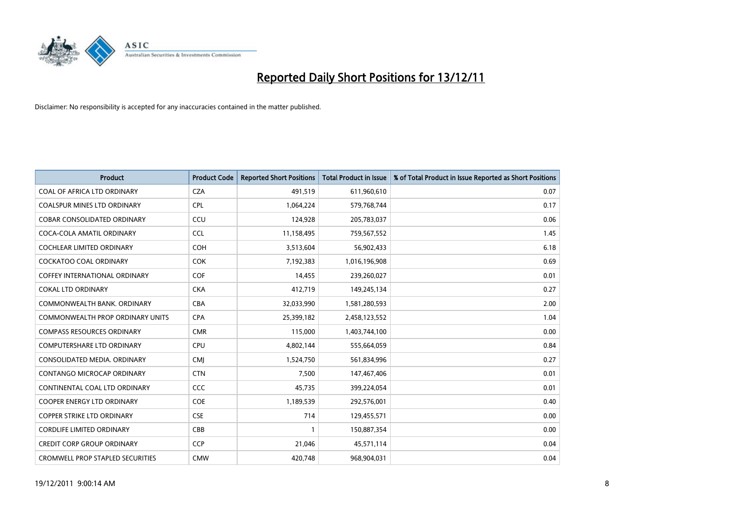

| <b>Product</b>                          | <b>Product Code</b> | <b>Reported Short Positions</b> | <b>Total Product in Issue</b> | % of Total Product in Issue Reported as Short Positions |
|-----------------------------------------|---------------------|---------------------------------|-------------------------------|---------------------------------------------------------|
| COAL OF AFRICA LTD ORDINARY             | <b>CZA</b>          | 491,519                         | 611,960,610                   | 0.07                                                    |
| <b>COALSPUR MINES LTD ORDINARY</b>      | <b>CPL</b>          | 1,064,224                       | 579,768,744                   | 0.17                                                    |
| <b>COBAR CONSOLIDATED ORDINARY</b>      | CCU                 | 124,928                         | 205,783,037                   | 0.06                                                    |
| COCA-COLA AMATIL ORDINARY               | <b>CCL</b>          | 11,158,495                      | 759,567,552                   | 1.45                                                    |
| <b>COCHLEAR LIMITED ORDINARY</b>        | <b>COH</b>          | 3,513,604                       | 56,902,433                    | 6.18                                                    |
| <b>COCKATOO COAL ORDINARY</b>           | <b>COK</b>          | 7,192,383                       | 1,016,196,908                 | 0.69                                                    |
| <b>COFFEY INTERNATIONAL ORDINARY</b>    | <b>COF</b>          | 14,455                          | 239,260,027                   | 0.01                                                    |
| <b>COKAL LTD ORDINARY</b>               | <b>CKA</b>          | 412,719                         | 149,245,134                   | 0.27                                                    |
| COMMONWEALTH BANK, ORDINARY             | <b>CBA</b>          | 32,033,990                      | 1,581,280,593                 | 2.00                                                    |
| <b>COMMONWEALTH PROP ORDINARY UNITS</b> | <b>CPA</b>          | 25,399,182                      | 2,458,123,552                 | 1.04                                                    |
| <b>COMPASS RESOURCES ORDINARY</b>       | <b>CMR</b>          | 115,000                         | 1,403,744,100                 | 0.00                                                    |
| <b>COMPUTERSHARE LTD ORDINARY</b>       | <b>CPU</b>          | 4,802,144                       | 555,664,059                   | 0.84                                                    |
| CONSOLIDATED MEDIA, ORDINARY            | <b>CMI</b>          | 1,524,750                       | 561,834,996                   | 0.27                                                    |
| <b>CONTANGO MICROCAP ORDINARY</b>       | <b>CTN</b>          | 7.500                           | 147,467,406                   | 0.01                                                    |
| CONTINENTAL COAL LTD ORDINARY           | CCC                 | 45,735                          | 399,224,054                   | 0.01                                                    |
| <b>COOPER ENERGY LTD ORDINARY</b>       | <b>COE</b>          | 1,189,539                       | 292,576,001                   | 0.40                                                    |
| <b>COPPER STRIKE LTD ORDINARY</b>       | <b>CSE</b>          | 714                             | 129,455,571                   | 0.00                                                    |
| <b>CORDLIFE LIMITED ORDINARY</b>        | CBB                 |                                 | 150,887,354                   | 0.00                                                    |
| <b>CREDIT CORP GROUP ORDINARY</b>       | <b>CCP</b>          | 21,046                          | 45,571,114                    | 0.04                                                    |
| <b>CROMWELL PROP STAPLED SECURITIES</b> | <b>CMW</b>          | 420.748                         | 968,904,031                   | 0.04                                                    |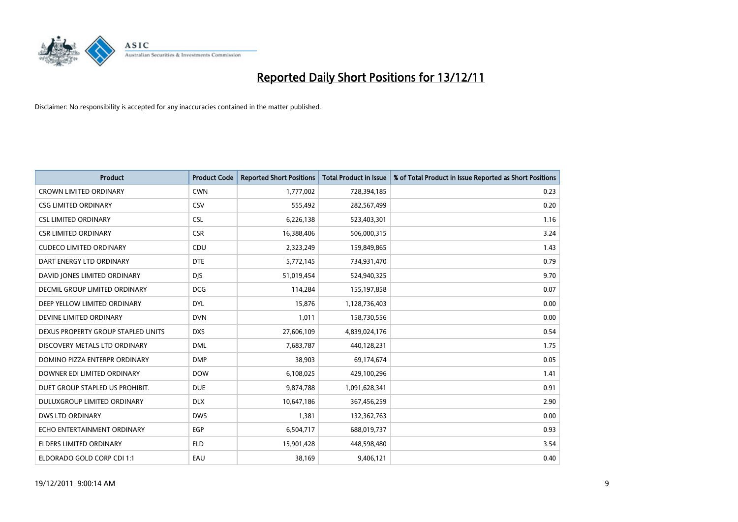

| <b>Product</b>                       | <b>Product Code</b> | <b>Reported Short Positions</b> | <b>Total Product in Issue</b> | % of Total Product in Issue Reported as Short Positions |
|--------------------------------------|---------------------|---------------------------------|-------------------------------|---------------------------------------------------------|
| <b>CROWN LIMITED ORDINARY</b>        | <b>CWN</b>          | 1,777,002                       | 728,394,185                   | 0.23                                                    |
| <b>CSG LIMITED ORDINARY</b>          | CSV                 | 555,492                         | 282,567,499                   | 0.20                                                    |
| <b>CSL LIMITED ORDINARY</b>          | <b>CSL</b>          | 6,226,138                       | 523,403,301                   | 1.16                                                    |
| <b>CSR LIMITED ORDINARY</b>          | <b>CSR</b>          | 16,388,406                      | 506,000,315                   | 3.24                                                    |
| <b>CUDECO LIMITED ORDINARY</b>       | CDU                 | 2,323,249                       | 159,849,865                   | 1.43                                                    |
| DART ENERGY LTD ORDINARY             | <b>DTE</b>          | 5,772,145                       | 734,931,470                   | 0.79                                                    |
| DAVID JONES LIMITED ORDINARY         | <b>DJS</b>          | 51,019,454                      | 524,940,325                   | 9.70                                                    |
| <b>DECMIL GROUP LIMITED ORDINARY</b> | <b>DCG</b>          | 114,284                         | 155,197,858                   | 0.07                                                    |
| DEEP YELLOW LIMITED ORDINARY         | <b>DYL</b>          | 15,876                          | 1,128,736,403                 | 0.00                                                    |
| DEVINE LIMITED ORDINARY              | <b>DVN</b>          | 1,011                           | 158,730,556                   | 0.00                                                    |
| DEXUS PROPERTY GROUP STAPLED UNITS   | <b>DXS</b>          | 27,606,109                      | 4,839,024,176                 | 0.54                                                    |
| DISCOVERY METALS LTD ORDINARY        | <b>DML</b>          | 7,683,787                       | 440,128,231                   | 1.75                                                    |
| DOMINO PIZZA ENTERPR ORDINARY        | <b>DMP</b>          | 38,903                          | 69,174,674                    | 0.05                                                    |
| DOWNER EDI LIMITED ORDINARY          | <b>DOW</b>          | 6,108,025                       | 429,100,296                   | 1.41                                                    |
| DUET GROUP STAPLED US PROHIBIT.      | <b>DUE</b>          | 9,874,788                       | 1,091,628,341                 | 0.91                                                    |
| DULUXGROUP LIMITED ORDINARY          | <b>DLX</b>          | 10,647,186                      | 367,456,259                   | 2.90                                                    |
| <b>DWS LTD ORDINARY</b>              | <b>DWS</b>          | 1,381                           | 132,362,763                   | 0.00                                                    |
| ECHO ENTERTAINMENT ORDINARY          | <b>EGP</b>          | 6,504,717                       | 688,019,737                   | 0.93                                                    |
| <b>ELDERS LIMITED ORDINARY</b>       | <b>ELD</b>          | 15,901,428                      | 448,598,480                   | 3.54                                                    |
| ELDORADO GOLD CORP CDI 1:1           | EAU                 | 38,169                          | 9,406,121                     | 0.40                                                    |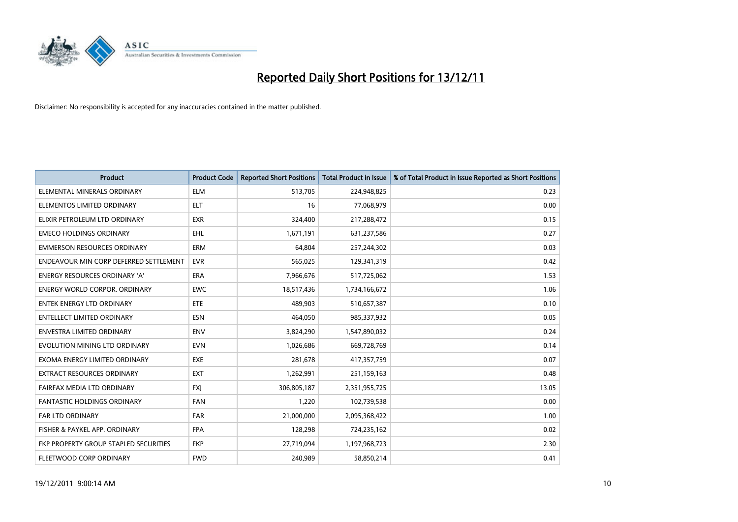

| <b>Product</b>                         | <b>Product Code</b> | <b>Reported Short Positions</b> | <b>Total Product in Issue</b> | % of Total Product in Issue Reported as Short Positions |
|----------------------------------------|---------------------|---------------------------------|-------------------------------|---------------------------------------------------------|
| ELEMENTAL MINERALS ORDINARY            | <b>ELM</b>          | 513,705                         | 224,948,825                   | 0.23                                                    |
| ELEMENTOS LIMITED ORDINARY             | <b>ELT</b>          | 16                              | 77,068,979                    | 0.00                                                    |
| ELIXIR PETROLEUM LTD ORDINARY          | <b>EXR</b>          | 324,400                         | 217,288,472                   | 0.15                                                    |
| <b>EMECO HOLDINGS ORDINARY</b>         | <b>EHL</b>          | 1,671,191                       | 631,237,586                   | 0.27                                                    |
| <b>EMMERSON RESOURCES ORDINARY</b>     | <b>ERM</b>          | 64,804                          | 257,244,302                   | 0.03                                                    |
| ENDEAVOUR MIN CORP DEFERRED SETTLEMENT | <b>EVR</b>          | 565,025                         | 129,341,319                   | 0.42                                                    |
| <b>ENERGY RESOURCES ORDINARY 'A'</b>   | <b>ERA</b>          | 7,966,676                       | 517,725,062                   | 1.53                                                    |
| ENERGY WORLD CORPOR, ORDINARY          | <b>EWC</b>          | 18,517,436                      | 1,734,166,672                 | 1.06                                                    |
| <b>ENTEK ENERGY LTD ORDINARY</b>       | ETE                 | 489,903                         | 510,657,387                   | 0.10                                                    |
| <b>ENTELLECT LIMITED ORDINARY</b>      | <b>ESN</b>          | 464,050                         | 985,337,932                   | 0.05                                                    |
| <b>ENVESTRA LIMITED ORDINARY</b>       | <b>ENV</b>          | 3,824,290                       | 1,547,890,032                 | 0.24                                                    |
| EVOLUTION MINING LTD ORDINARY          | <b>EVN</b>          | 1,026,686                       | 669,728,769                   | 0.14                                                    |
| EXOMA ENERGY LIMITED ORDINARY          | <b>EXE</b>          | 281,678                         | 417,357,759                   | 0.07                                                    |
| <b>EXTRACT RESOURCES ORDINARY</b>      | <b>EXT</b>          | 1,262,991                       | 251,159,163                   | 0.48                                                    |
| FAIRFAX MEDIA LTD ORDINARY             | <b>FXI</b>          | 306,805,187                     | 2,351,955,725                 | 13.05                                                   |
| <b>FANTASTIC HOLDINGS ORDINARY</b>     | <b>FAN</b>          | 1,220                           | 102,739,538                   | 0.00                                                    |
| FAR LTD ORDINARY                       | <b>FAR</b>          | 21,000,000                      | 2,095,368,422                 | 1.00                                                    |
| FISHER & PAYKEL APP. ORDINARY          | <b>FPA</b>          | 128,298                         | 724,235,162                   | 0.02                                                    |
| FKP PROPERTY GROUP STAPLED SECURITIES  | <b>FKP</b>          | 27,719,094                      | 1,197,968,723                 | 2.30                                                    |
| FLEETWOOD CORP ORDINARY                | <b>FWD</b>          | 240,989                         | 58,850,214                    | 0.41                                                    |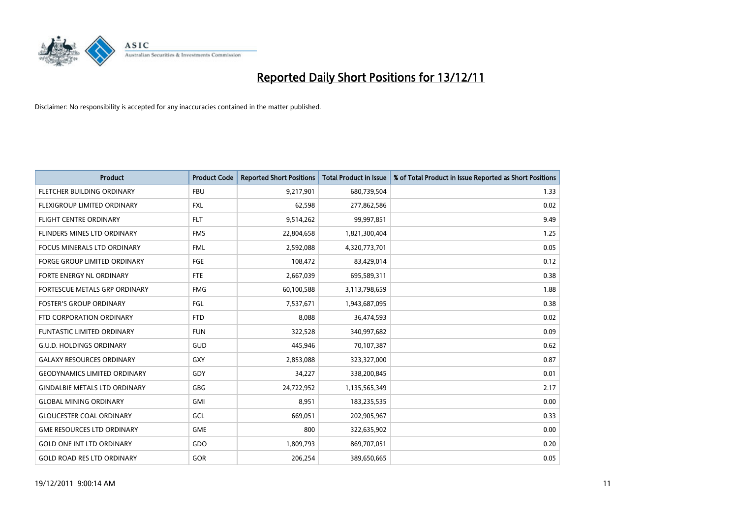

| <b>Product</b>                       | <b>Product Code</b> | <b>Reported Short Positions</b> | <b>Total Product in Issue</b> | % of Total Product in Issue Reported as Short Positions |
|--------------------------------------|---------------------|---------------------------------|-------------------------------|---------------------------------------------------------|
| FLETCHER BUILDING ORDINARY           | <b>FBU</b>          | 9,217,901                       | 680,739,504                   | 1.33                                                    |
| FLEXIGROUP LIMITED ORDINARY          | <b>FXL</b>          | 62,598                          | 277,862,586                   | 0.02                                                    |
| <b>FLIGHT CENTRE ORDINARY</b>        | <b>FLT</b>          | 9,514,262                       | 99,997,851                    | 9.49                                                    |
| FLINDERS MINES LTD ORDINARY          | <b>FMS</b>          | 22,804,658                      | 1,821,300,404                 | 1.25                                                    |
| <b>FOCUS MINERALS LTD ORDINARY</b>   | <b>FML</b>          | 2,592,088                       | 4,320,773,701                 | 0.05                                                    |
| <b>FORGE GROUP LIMITED ORDINARY</b>  | FGE                 | 108,472                         | 83,429,014                    | 0.12                                                    |
| FORTE ENERGY NL ORDINARY             | <b>FTE</b>          | 2,667,039                       | 695,589,311                   | 0.38                                                    |
| <b>FORTESCUE METALS GRP ORDINARY</b> | <b>FMG</b>          | 60,100,588                      | 3,113,798,659                 | 1.88                                                    |
| <b>FOSTER'S GROUP ORDINARY</b>       | FGL                 | 7,537,671                       | 1,943,687,095                 | 0.38                                                    |
| FTD CORPORATION ORDINARY             | <b>FTD</b>          | 8,088                           | 36,474,593                    | 0.02                                                    |
| <b>FUNTASTIC LIMITED ORDINARY</b>    | <b>FUN</b>          | 322,528                         | 340,997,682                   | 0.09                                                    |
| <b>G.U.D. HOLDINGS ORDINARY</b>      | GUD                 | 445,946                         | 70,107,387                    | 0.62                                                    |
| <b>GALAXY RESOURCES ORDINARY</b>     | GXY                 | 2,853,088                       | 323,327,000                   | 0.87                                                    |
| <b>GEODYNAMICS LIMITED ORDINARY</b>  | GDY                 | 34,227                          | 338,200,845                   | 0.01                                                    |
| <b>GINDALBIE METALS LTD ORDINARY</b> | GBG                 | 24,722,952                      | 1,135,565,349                 | 2.17                                                    |
| <b>GLOBAL MINING ORDINARY</b>        | GMI                 | 8,951                           | 183,235,535                   | 0.00                                                    |
| <b>GLOUCESTER COAL ORDINARY</b>      | GCL                 | 669,051                         | 202,905,967                   | 0.33                                                    |
| <b>GME RESOURCES LTD ORDINARY</b>    | <b>GME</b>          | 800                             | 322,635,902                   | 0.00                                                    |
| <b>GOLD ONE INT LTD ORDINARY</b>     | GDO                 | 1,809,793                       | 869,707,051                   | 0.20                                                    |
| <b>GOLD ROAD RES LTD ORDINARY</b>    | GOR                 | 206,254                         | 389,650,665                   | 0.05                                                    |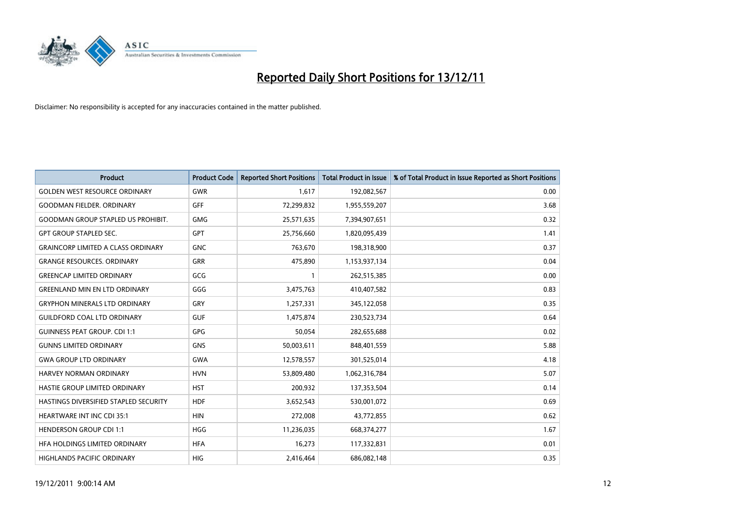

| <b>Product</b>                            | <b>Product Code</b> | <b>Reported Short Positions</b> | <b>Total Product in Issue</b> | % of Total Product in Issue Reported as Short Positions |
|-------------------------------------------|---------------------|---------------------------------|-------------------------------|---------------------------------------------------------|
| <b>GOLDEN WEST RESOURCE ORDINARY</b>      | <b>GWR</b>          | 1,617                           | 192,082,567                   | 0.00                                                    |
| <b>GOODMAN FIELDER, ORDINARY</b>          | <b>GFF</b>          | 72,299,832                      | 1,955,559,207                 | 3.68                                                    |
| <b>GOODMAN GROUP STAPLED US PROHIBIT.</b> | <b>GMG</b>          | 25,571,635                      | 7,394,907,651                 | 0.32                                                    |
| <b>GPT GROUP STAPLED SEC.</b>             | <b>GPT</b>          | 25,756,660                      | 1,820,095,439                 | 1.41                                                    |
| <b>GRAINCORP LIMITED A CLASS ORDINARY</b> | <b>GNC</b>          | 763.670                         | 198,318,900                   | 0.37                                                    |
| <b>GRANGE RESOURCES, ORDINARY</b>         | <b>GRR</b>          | 475,890                         | 1,153,937,134                 | 0.04                                                    |
| <b>GREENCAP LIMITED ORDINARY</b>          | GCG                 |                                 | 262,515,385                   | 0.00                                                    |
| <b>GREENLAND MIN EN LTD ORDINARY</b>      | GGG                 | 3,475,763                       | 410,407,582                   | 0.83                                                    |
| <b>GRYPHON MINERALS LTD ORDINARY</b>      | GRY                 | 1,257,331                       | 345,122,058                   | 0.35                                                    |
| <b>GUILDFORD COAL LTD ORDINARY</b>        | <b>GUF</b>          | 1,475,874                       | 230,523,734                   | 0.64                                                    |
| <b>GUINNESS PEAT GROUP. CDI 1:1</b>       | <b>GPG</b>          | 50,054                          | 282,655,688                   | 0.02                                                    |
| <b>GUNNS LIMITED ORDINARY</b>             | <b>GNS</b>          | 50,003,611                      | 848,401,559                   | 5.88                                                    |
| <b>GWA GROUP LTD ORDINARY</b>             | <b>GWA</b>          | 12,578,557                      | 301,525,014                   | 4.18                                                    |
| <b>HARVEY NORMAN ORDINARY</b>             | <b>HVN</b>          | 53,809,480                      | 1,062,316,784                 | 5.07                                                    |
| <b>HASTIE GROUP LIMITED ORDINARY</b>      | <b>HST</b>          | 200,932                         | 137,353,504                   | 0.14                                                    |
| HASTINGS DIVERSIFIED STAPLED SECURITY     | <b>HDF</b>          | 3,652,543                       | 530,001,072                   | 0.69                                                    |
| <b>HEARTWARE INT INC CDI 35:1</b>         | <b>HIN</b>          | 272,008                         | 43,772,855                    | 0.62                                                    |
| <b>HENDERSON GROUP CDI 1:1</b>            | <b>HGG</b>          | 11,236,035                      | 668,374,277                   | 1.67                                                    |
| HFA HOLDINGS LIMITED ORDINARY             | <b>HFA</b>          | 16,273                          | 117,332,831                   | 0.01                                                    |
| HIGHLANDS PACIFIC ORDINARY                | <b>HIG</b>          | 2,416,464                       | 686,082,148                   | 0.35                                                    |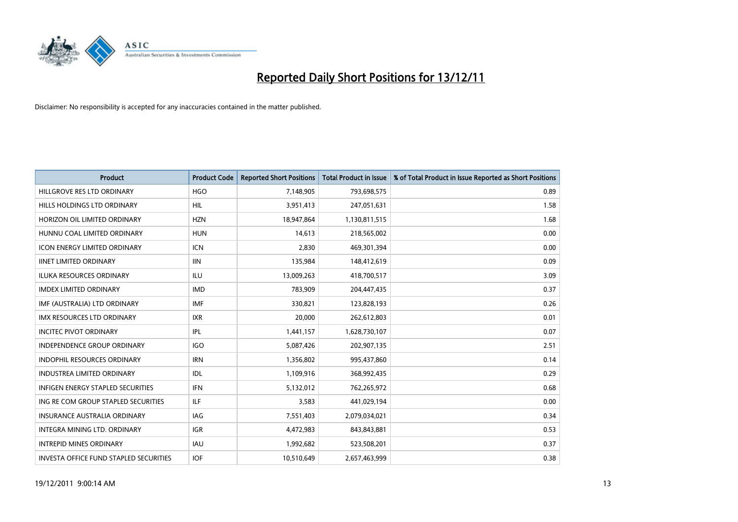

| <b>Product</b>                           | <b>Product Code</b> | <b>Reported Short Positions</b> | <b>Total Product in Issue</b> | % of Total Product in Issue Reported as Short Positions |
|------------------------------------------|---------------------|---------------------------------|-------------------------------|---------------------------------------------------------|
| HILLGROVE RES LTD ORDINARY               | <b>HGO</b>          | 7,148,905                       | 793,698,575                   | 0.89                                                    |
| HILLS HOLDINGS LTD ORDINARY              | <b>HIL</b>          | 3,951,413                       | 247,051,631                   | 1.58                                                    |
| HORIZON OIL LIMITED ORDINARY             | <b>HZN</b>          | 18,947,864                      | 1,130,811,515                 | 1.68                                                    |
| HUNNU COAL LIMITED ORDINARY              | <b>HUN</b>          | 14,613                          | 218,565,002                   | 0.00                                                    |
| <b>ICON ENERGY LIMITED ORDINARY</b>      | <b>ICN</b>          | 2,830                           | 469,301,394                   | 0.00                                                    |
| <b>IINET LIMITED ORDINARY</b>            | <b>IIN</b>          | 135,984                         | 148,412,619                   | 0.09                                                    |
| <b>ILUKA RESOURCES ORDINARY</b>          | ILU                 | 13,009,263                      | 418,700,517                   | 3.09                                                    |
| <b>IMDEX LIMITED ORDINARY</b>            | <b>IMD</b>          | 783,909                         | 204,447,435                   | 0.37                                                    |
| IMF (AUSTRALIA) LTD ORDINARY             | <b>IMF</b>          | 330.821                         | 123,828,193                   | 0.26                                                    |
| <b>IMX RESOURCES LTD ORDINARY</b>        | <b>IXR</b>          | 20,000                          | 262,612,803                   | 0.01                                                    |
| <b>INCITEC PIVOT ORDINARY</b>            | IPL                 | 1,441,157                       | 1,628,730,107                 | 0.07                                                    |
| <b>INDEPENDENCE GROUP ORDINARY</b>       | <b>IGO</b>          | 5,087,426                       | 202,907,135                   | 2.51                                                    |
| INDOPHIL RESOURCES ORDINARY              | <b>IRN</b>          | 1,356,802                       | 995,437,860                   | 0.14                                                    |
| <b>INDUSTREA LIMITED ORDINARY</b>        | IDL                 | 1,109,916                       | 368,992,435                   | 0.29                                                    |
| <b>INFIGEN ENERGY STAPLED SECURITIES</b> | <b>IFN</b>          | 5,132,012                       | 762,265,972                   | 0.68                                                    |
| ING RE COM GROUP STAPLED SECURITIES      | ILF                 | 3,583                           | 441,029,194                   | 0.00                                                    |
| <b>INSURANCE AUSTRALIA ORDINARY</b>      | IAG                 | 7,551,403                       | 2,079,034,021                 | 0.34                                                    |
| INTEGRA MINING LTD. ORDINARY             | <b>IGR</b>          | 4,472,983                       | 843,843,881                   | 0.53                                                    |
| <b>INTREPID MINES ORDINARY</b>           | <b>IAU</b>          | 1,992,682                       | 523,508,201                   | 0.37                                                    |
| INVESTA OFFICE FUND STAPLED SECURITIES   | <b>IOF</b>          | 10,510,649                      | 2,657,463,999                 | 0.38                                                    |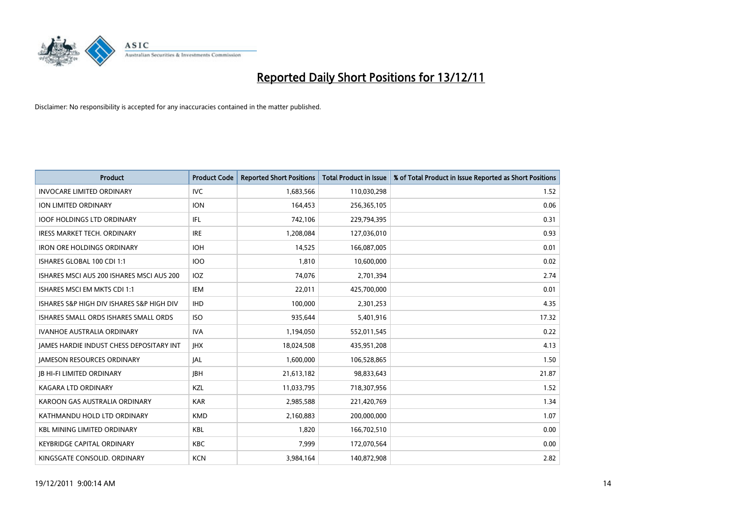

| <b>Product</b>                                  | <b>Product Code</b> | <b>Reported Short Positions</b> | <b>Total Product in Issue</b> | % of Total Product in Issue Reported as Short Positions |
|-------------------------------------------------|---------------------|---------------------------------|-------------------------------|---------------------------------------------------------|
| <b>INVOCARE LIMITED ORDINARY</b>                | <b>IVC</b>          | 1,683,566                       | 110,030,298                   | 1.52                                                    |
| ION LIMITED ORDINARY                            | <b>ION</b>          | 164,453                         | 256,365,105                   | 0.06                                                    |
| <b>IOOF HOLDINGS LTD ORDINARY</b>               | <b>IFL</b>          | 742,106                         | 229,794,395                   | 0.31                                                    |
| <b>IRESS MARKET TECH. ORDINARY</b>              | <b>IRE</b>          | 1,208,084                       | 127,036,010                   | 0.93                                                    |
| <b>IRON ORE HOLDINGS ORDINARY</b>               | <b>IOH</b>          | 14,525                          | 166,087,005                   | 0.01                                                    |
| ISHARES GLOBAL 100 CDI 1:1                      | <b>IOO</b>          | 1,810                           | 10,600,000                    | 0.02                                                    |
| ISHARES MSCI AUS 200 ISHARES MSCI AUS 200       | <b>IOZ</b>          | 74,076                          | 2,701,394                     | 2.74                                                    |
| ISHARES MSCI EM MKTS CDI 1:1                    | IEM                 | 22,011                          | 425,700,000                   | 0.01                                                    |
| ISHARES S&P HIGH DIV ISHARES S&P HIGH DIV       | <b>IHD</b>          | 100,000                         | 2,301,253                     | 4.35                                                    |
| ISHARES SMALL ORDS ISHARES SMALL ORDS           | <b>ISO</b>          | 935,644                         | 5,401,916                     | 17.32                                                   |
| <b>IVANHOE AUSTRALIA ORDINARY</b>               | <b>IVA</b>          | 1,194,050                       | 552,011,545                   | 0.22                                                    |
| <b>JAMES HARDIE INDUST CHESS DEPOSITARY INT</b> | <b>IHX</b>          | 18,024,508                      | 435,951,208                   | 4.13                                                    |
| <b>JAMESON RESOURCES ORDINARY</b>               | IAL                 | 1,600,000                       | 106,528,865                   | 1.50                                                    |
| <b>JB HI-FI LIMITED ORDINARY</b>                | <b>IBH</b>          | 21,613,182                      | 98,833,643                    | 21.87                                                   |
| <b>KAGARA LTD ORDINARY</b>                      | <b>KZL</b>          | 11,033,795                      | 718,307,956                   | 1.52                                                    |
| KAROON GAS AUSTRALIA ORDINARY                   | <b>KAR</b>          | 2,985,588                       | 221,420,769                   | 1.34                                                    |
| KATHMANDU HOLD LTD ORDINARY                     | <b>KMD</b>          | 2,160,883                       | 200,000,000                   | 1.07                                                    |
| <b>KBL MINING LIMITED ORDINARY</b>              | <b>KBL</b>          | 1,820                           | 166,702,510                   | 0.00                                                    |
| <b>KEYBRIDGE CAPITAL ORDINARY</b>               | <b>KBC</b>          | 7,999                           | 172,070,564                   | 0.00                                                    |
| KINGSGATE CONSOLID. ORDINARY                    | <b>KCN</b>          | 3,984,164                       | 140,872,908                   | 2.82                                                    |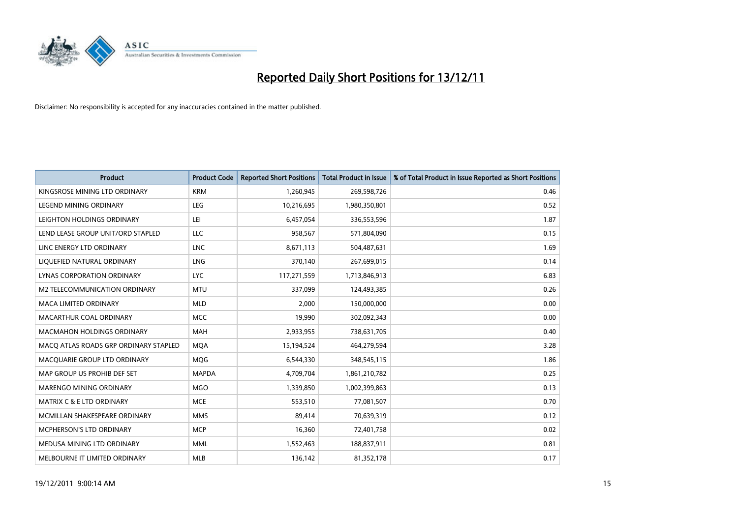

| <b>Product</b>                        | <b>Product Code</b> | <b>Reported Short Positions</b> | <b>Total Product in Issue</b> | % of Total Product in Issue Reported as Short Positions |
|---------------------------------------|---------------------|---------------------------------|-------------------------------|---------------------------------------------------------|
| KINGSROSE MINING LTD ORDINARY         | <b>KRM</b>          | 1,260,945                       | 269,598,726                   | 0.46                                                    |
| LEGEND MINING ORDINARY                | <b>LEG</b>          | 10,216,695                      | 1,980,350,801                 | 0.52                                                    |
| LEIGHTON HOLDINGS ORDINARY            | LEI                 | 6,457,054                       | 336,553,596                   | 1.87                                                    |
| LEND LEASE GROUP UNIT/ORD STAPLED     | LLC                 | 958,567                         | 571,804,090                   | 0.15                                                    |
| LINC ENERGY LTD ORDINARY              | <b>LNC</b>          | 8,671,113                       | 504,487,631                   | 1.69                                                    |
| LIQUEFIED NATURAL ORDINARY            | <b>LNG</b>          | 370,140                         | 267,699,015                   | 0.14                                                    |
| LYNAS CORPORATION ORDINARY            | <b>LYC</b>          | 117,271,559                     | 1,713,846,913                 | 6.83                                                    |
| M2 TELECOMMUNICATION ORDINARY         | <b>MTU</b>          | 337,099                         | 124,493,385                   | 0.26                                                    |
| <b>MACA LIMITED ORDINARY</b>          | <b>MLD</b>          | 2.000                           | 150,000,000                   | 0.00                                                    |
| MACARTHUR COAL ORDINARY               | <b>MCC</b>          | 19,990                          | 302,092,343                   | 0.00                                                    |
| MACMAHON HOLDINGS ORDINARY            | <b>MAH</b>          | 2,933,955                       | 738,631,705                   | 0.40                                                    |
| MACO ATLAS ROADS GRP ORDINARY STAPLED | <b>MQA</b>          | 15,194,524                      | 464,279,594                   | 3.28                                                    |
| MACQUARIE GROUP LTD ORDINARY          | <b>MOG</b>          | 6,544,330                       | 348,545,115                   | 1.86                                                    |
| MAP GROUP US PROHIB DEF SET           | <b>MAPDA</b>        | 4,709,704                       | 1,861,210,782                 | 0.25                                                    |
| MARENGO MINING ORDINARY               | <b>MGO</b>          | 1,339,850                       | 1,002,399,863                 | 0.13                                                    |
| MATRIX C & E LTD ORDINARY             | <b>MCE</b>          | 553,510                         | 77,081,507                    | 0.70                                                    |
| MCMILLAN SHAKESPEARE ORDINARY         | <b>MMS</b>          | 89,414                          | 70,639,319                    | 0.12                                                    |
| MCPHERSON'S LTD ORDINARY              | <b>MCP</b>          | 16,360                          | 72,401,758                    | 0.02                                                    |
| MEDUSA MINING LTD ORDINARY            | <b>MML</b>          | 1,552,463                       | 188,837,911                   | 0.81                                                    |
| MELBOURNE IT LIMITED ORDINARY         | <b>MLB</b>          | 136,142                         | 81,352,178                    | 0.17                                                    |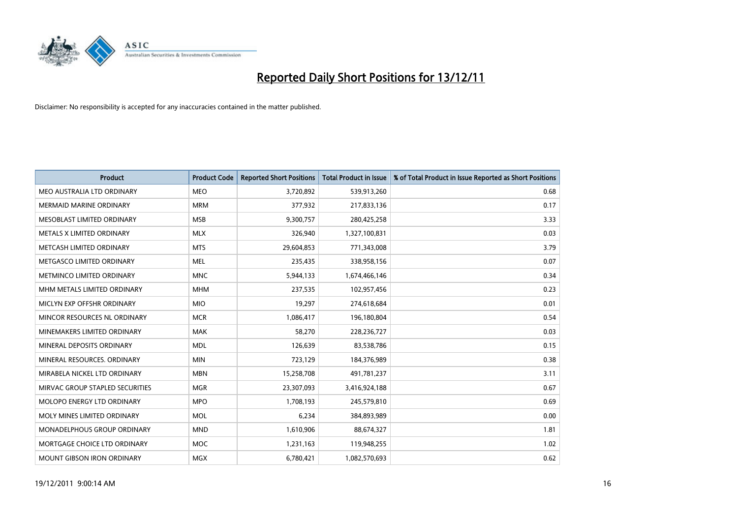

| <b>Product</b>                    | <b>Product Code</b> | <b>Reported Short Positions</b> | <b>Total Product in Issue</b> | % of Total Product in Issue Reported as Short Positions |
|-----------------------------------|---------------------|---------------------------------|-------------------------------|---------------------------------------------------------|
| MEO AUSTRALIA LTD ORDINARY        | <b>MEO</b>          | 3,720,892                       | 539,913,260                   | 0.68                                                    |
| <b>MERMAID MARINE ORDINARY</b>    | <b>MRM</b>          | 377,932                         | 217,833,136                   | 0.17                                                    |
| MESOBLAST LIMITED ORDINARY        | <b>MSB</b>          | 9,300,757                       | 280,425,258                   | 3.33                                                    |
| METALS X LIMITED ORDINARY         | <b>MLX</b>          | 326,940                         | 1,327,100,831                 | 0.03                                                    |
| METCASH LIMITED ORDINARY          | <b>MTS</b>          | 29,604,853                      | 771,343,008                   | 3.79                                                    |
| METGASCO LIMITED ORDINARY         | <b>MEL</b>          | 235,435                         | 338,958,156                   | 0.07                                                    |
| METMINCO LIMITED ORDINARY         | <b>MNC</b>          | 5,944,133                       | 1,674,466,146                 | 0.34                                                    |
| MHM METALS LIMITED ORDINARY       | <b>MHM</b>          | 237,535                         | 102,957,456                   | 0.23                                                    |
| MICLYN EXP OFFSHR ORDINARY        | <b>MIO</b>          | 19,297                          | 274,618,684                   | 0.01                                                    |
| MINCOR RESOURCES NL ORDINARY      | <b>MCR</b>          | 1,086,417                       | 196,180,804                   | 0.54                                                    |
| MINEMAKERS LIMITED ORDINARY       | <b>MAK</b>          | 58,270                          | 228,236,727                   | 0.03                                                    |
| MINERAL DEPOSITS ORDINARY         | <b>MDL</b>          | 126,639                         | 83,538,786                    | 0.15                                                    |
| MINERAL RESOURCES, ORDINARY       | <b>MIN</b>          | 723,129                         | 184,376,989                   | 0.38                                                    |
| MIRABELA NICKEL LTD ORDINARY      | <b>MBN</b>          | 15,258,708                      | 491,781,237                   | 3.11                                                    |
| MIRVAC GROUP STAPLED SECURITIES   | <b>MGR</b>          | 23,307,093                      | 3,416,924,188                 | 0.67                                                    |
| <b>MOLOPO ENERGY LTD ORDINARY</b> | <b>MPO</b>          | 1,708,193                       | 245,579,810                   | 0.69                                                    |
| MOLY MINES LIMITED ORDINARY       | <b>MOL</b>          | 6,234                           | 384,893,989                   | 0.00                                                    |
| MONADELPHOUS GROUP ORDINARY       | <b>MND</b>          | 1,610,906                       | 88,674,327                    | 1.81                                                    |
| MORTGAGE CHOICE LTD ORDINARY      | MOC                 | 1,231,163                       | 119,948,255                   | 1.02                                                    |
| MOUNT GIBSON IRON ORDINARY        | MGX                 | 6,780,421                       | 1,082,570,693                 | 0.62                                                    |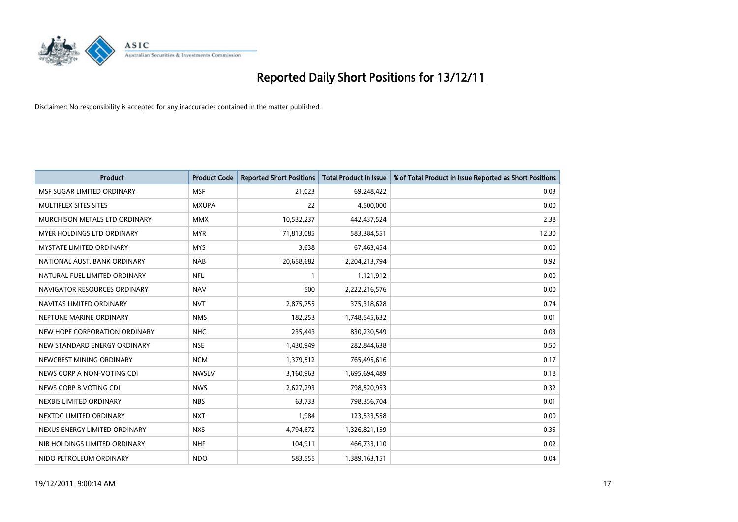

| <b>Product</b>                       | <b>Product Code</b> | <b>Reported Short Positions</b> | <b>Total Product in Issue</b> | % of Total Product in Issue Reported as Short Positions |
|--------------------------------------|---------------------|---------------------------------|-------------------------------|---------------------------------------------------------|
| MSF SUGAR LIMITED ORDINARY           | <b>MSF</b>          | 21,023                          | 69,248,422                    | 0.03                                                    |
| <b>MULTIPLEX SITES SITES</b>         | <b>MXUPA</b>        | 22                              | 4,500,000                     | 0.00                                                    |
| <b>MURCHISON METALS LTD ORDINARY</b> | <b>MMX</b>          | 10,532,237                      | 442,437,524                   | 2.38                                                    |
| MYER HOLDINGS LTD ORDINARY           | <b>MYR</b>          | 71,813,085                      | 583,384,551                   | 12.30                                                   |
| <b>MYSTATE LIMITED ORDINARY</b>      | <b>MYS</b>          | 3,638                           | 67,463,454                    | 0.00                                                    |
| NATIONAL AUST. BANK ORDINARY         | <b>NAB</b>          | 20,658,682                      | 2,204,213,794                 | 0.92                                                    |
| NATURAL FUEL LIMITED ORDINARY        | <b>NFL</b>          |                                 | 1,121,912                     | 0.00                                                    |
| NAVIGATOR RESOURCES ORDINARY         | <b>NAV</b>          | 500                             | 2,222,216,576                 | 0.00                                                    |
| NAVITAS LIMITED ORDINARY             | <b>NVT</b>          | 2,875,755                       | 375,318,628                   | 0.74                                                    |
| NEPTUNE MARINE ORDINARY              | <b>NMS</b>          | 182,253                         | 1,748,545,632                 | 0.01                                                    |
| NEW HOPE CORPORATION ORDINARY        | <b>NHC</b>          | 235,443                         | 830,230,549                   | 0.03                                                    |
| NEW STANDARD ENERGY ORDINARY         | <b>NSE</b>          | 1,430,949                       | 282,844,638                   | 0.50                                                    |
| NEWCREST MINING ORDINARY             | <b>NCM</b>          | 1,379,512                       | 765,495,616                   | 0.17                                                    |
| NEWS CORP A NON-VOTING CDI           | <b>NWSLV</b>        | 3,160,963                       | 1,695,694,489                 | 0.18                                                    |
| NEWS CORP B VOTING CDI               | <b>NWS</b>          | 2,627,293                       | 798,520,953                   | 0.32                                                    |
| NEXBIS LIMITED ORDINARY              | <b>NBS</b>          | 63,733                          | 798,356,704                   | 0.01                                                    |
| NEXTDC LIMITED ORDINARY              | <b>NXT</b>          | 1,984                           | 123,533,558                   | 0.00                                                    |
| NEXUS ENERGY LIMITED ORDINARY        | <b>NXS</b>          | 4,794,672                       | 1,326,821,159                 | 0.35                                                    |
| NIB HOLDINGS LIMITED ORDINARY        | <b>NHF</b>          | 104,911                         | 466,733,110                   | 0.02                                                    |
| NIDO PETROLEUM ORDINARY              | <b>NDO</b>          | 583,555                         | 1,389,163,151                 | 0.04                                                    |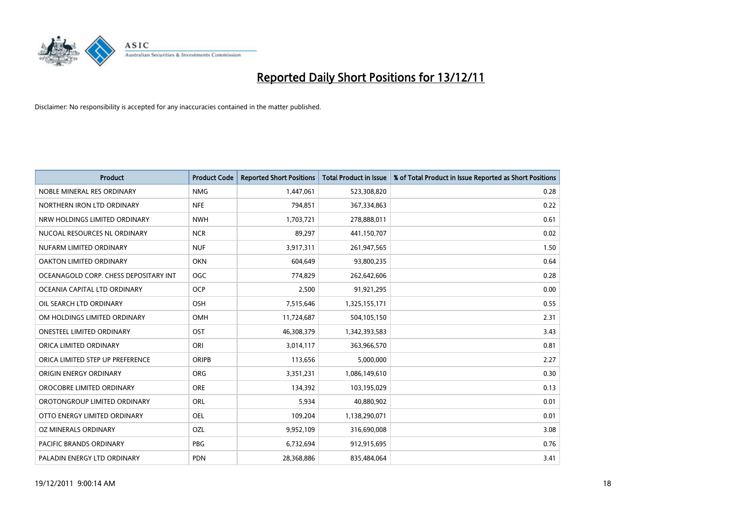

| <b>Product</b>                        | <b>Product Code</b> | <b>Reported Short Positions</b> | <b>Total Product in Issue</b> | % of Total Product in Issue Reported as Short Positions |
|---------------------------------------|---------------------|---------------------------------|-------------------------------|---------------------------------------------------------|
| NOBLE MINERAL RES ORDINARY            | <b>NMG</b>          | 1,447,061                       | 523,308,820                   | 0.28                                                    |
| NORTHERN IRON LTD ORDINARY            | <b>NFE</b>          | 794,851                         | 367,334,863                   | 0.22                                                    |
| NRW HOLDINGS LIMITED ORDINARY         | <b>NWH</b>          | 1,703,721                       | 278,888,011                   | 0.61                                                    |
| NUCOAL RESOURCES NL ORDINARY          | <b>NCR</b>          | 89,297                          | 441,150,707                   | 0.02                                                    |
| NUFARM LIMITED ORDINARY               | <b>NUF</b>          | 3,917,311                       | 261,947,565                   | 1.50                                                    |
| OAKTON LIMITED ORDINARY               | <b>OKN</b>          | 604,649                         | 93,800,235                    | 0.64                                                    |
| OCEANAGOLD CORP. CHESS DEPOSITARY INT | <b>OGC</b>          | 774,829                         | 262,642,606                   | 0.28                                                    |
| OCEANIA CAPITAL LTD ORDINARY          | <b>OCP</b>          | 2,500                           | 91,921,295                    | 0.00                                                    |
| OIL SEARCH LTD ORDINARY               | <b>OSH</b>          | 7,515,646                       | 1,325,155,171                 | 0.55                                                    |
| OM HOLDINGS LIMITED ORDINARY          | <b>OMH</b>          | 11,724,687                      | 504,105,150                   | 2.31                                                    |
| ONESTEEL LIMITED ORDINARY             | OST                 | 46,308,379                      | 1,342,393,583                 | 3.43                                                    |
| ORICA LIMITED ORDINARY                | ORI                 | 3,014,117                       | 363,966,570                   | 0.81                                                    |
| ORICA LIMITED STEP UP PREFERENCE      | <b>ORIPB</b>        | 113,656                         | 5,000,000                     | 2.27                                                    |
| ORIGIN ENERGY ORDINARY                | <b>ORG</b>          | 3,351,231                       | 1,086,149,610                 | 0.30                                                    |
| OROCOBRE LIMITED ORDINARY             | <b>ORE</b>          | 134,392                         | 103,195,029                   | 0.13                                                    |
| OROTONGROUP LIMITED ORDINARY          | ORL                 | 5,934                           | 40,880,902                    | 0.01                                                    |
| OTTO ENERGY LIMITED ORDINARY          | OEL                 | 109,204                         | 1,138,290,071                 | 0.01                                                    |
| OZ MINERALS ORDINARY                  | OZL                 | 9,952,109                       | 316,690,008                   | 3.08                                                    |
| <b>PACIFIC BRANDS ORDINARY</b>        | <b>PBG</b>          | 6,732,694                       | 912,915,695                   | 0.76                                                    |
| PALADIN ENERGY LTD ORDINARY           | <b>PDN</b>          | 28,368,886                      | 835,484,064                   | 3.41                                                    |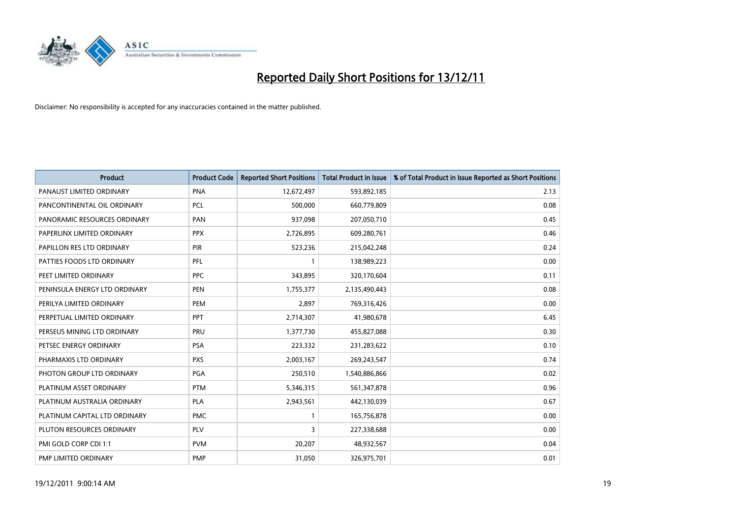

| <b>Product</b>                | <b>Product Code</b> | <b>Reported Short Positions</b> | <b>Total Product in Issue</b> | % of Total Product in Issue Reported as Short Positions |
|-------------------------------|---------------------|---------------------------------|-------------------------------|---------------------------------------------------------|
| PANAUST LIMITED ORDINARY      | <b>PNA</b>          | 12,672,497                      | 593,892,185                   | 2.13                                                    |
| PANCONTINENTAL OIL ORDINARY   | <b>PCL</b>          | 500,000                         | 660,779,809                   | 0.08                                                    |
| PANORAMIC RESOURCES ORDINARY  | PAN                 | 937,098                         | 207,050,710                   | 0.45                                                    |
| PAPERLINX LIMITED ORDINARY    | <b>PPX</b>          | 2,726,895                       | 609,280,761                   | 0.46                                                    |
| PAPILLON RES LTD ORDINARY     | PIR                 | 523,236                         | 215,042,248                   | 0.24                                                    |
| PATTIES FOODS LTD ORDINARY    | PFL                 |                                 | 138,989,223                   | 0.00                                                    |
| PEET LIMITED ORDINARY         | <b>PPC</b>          | 343,895                         | 320,170,604                   | 0.11                                                    |
| PENINSULA ENERGY LTD ORDINARY | <b>PEN</b>          | 1,755,377                       | 2,135,490,443                 | 0.08                                                    |
| PERILYA LIMITED ORDINARY      | PEM                 | 2,897                           | 769,316,426                   | 0.00                                                    |
| PERPETUAL LIMITED ORDINARY    | PPT                 | 2,714,307                       | 41,980,678                    | 6.45                                                    |
| PERSEUS MINING LTD ORDINARY   | PRU                 | 1,377,730                       | 455,827,088                   | 0.30                                                    |
| PETSEC ENERGY ORDINARY        | <b>PSA</b>          | 223,332                         | 231,283,622                   | 0.10                                                    |
| PHARMAXIS LTD ORDINARY        | <b>PXS</b>          | 2,003,167                       | 269,243,547                   | 0.74                                                    |
| PHOTON GROUP LTD ORDINARY     | <b>PGA</b>          | 250,510                         | 1,540,886,866                 | 0.02                                                    |
| PLATINUM ASSET ORDINARY       | <b>PTM</b>          | 5,346,315                       | 561,347,878                   | 0.96                                                    |
| PLATINUM AUSTRALIA ORDINARY   | <b>PLA</b>          | 2,943,561                       | 442,130,039                   | 0.67                                                    |
| PLATINUM CAPITAL LTD ORDINARY | <b>PMC</b>          |                                 | 165,756,878                   | 0.00                                                    |
| PLUTON RESOURCES ORDINARY     | <b>PLV</b>          | 3                               | 227,338,688                   | 0.00                                                    |
| PMI GOLD CORP CDI 1:1         | <b>PVM</b>          | 20,207                          | 48,932,567                    | 0.04                                                    |
| PMP LIMITED ORDINARY          | <b>PMP</b>          | 31,050                          | 326,975,701                   | 0.01                                                    |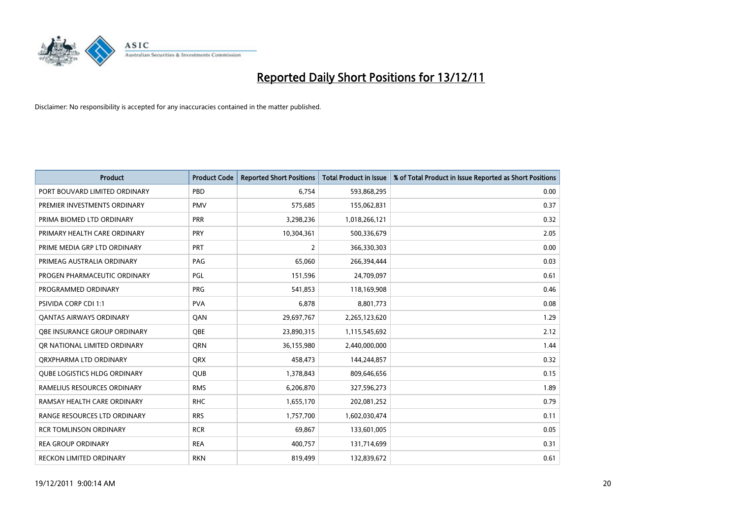

| <b>Product</b>                      | <b>Product Code</b> | <b>Reported Short Positions</b> | <b>Total Product in Issue</b> | % of Total Product in Issue Reported as Short Positions |
|-------------------------------------|---------------------|---------------------------------|-------------------------------|---------------------------------------------------------|
| PORT BOUVARD LIMITED ORDINARY       | PBD                 | 6.754                           | 593,868,295                   | 0.00                                                    |
| PREMIER INVESTMENTS ORDINARY        | <b>PMV</b>          | 575,685                         | 155,062,831                   | 0.37                                                    |
| PRIMA BIOMED LTD ORDINARY           | <b>PRR</b>          | 3,298,236                       | 1,018,266,121                 | 0.32                                                    |
| PRIMARY HEALTH CARE ORDINARY        | <b>PRY</b>          | 10,304,361                      | 500,336,679                   | 2.05                                                    |
| PRIME MEDIA GRP LTD ORDINARY        | <b>PRT</b>          | 2                               | 366,330,303                   | 0.00                                                    |
| PRIMEAG AUSTRALIA ORDINARY          | PAG                 | 65,060                          | 266,394,444                   | 0.03                                                    |
| PROGEN PHARMACEUTIC ORDINARY        | PGL                 | 151,596                         | 24,709,097                    | 0.61                                                    |
| PROGRAMMED ORDINARY                 | <b>PRG</b>          | 541.853                         | 118,169,908                   | 0.46                                                    |
| <b>PSIVIDA CORP CDI 1:1</b>         | <b>PVA</b>          | 6,878                           | 8,801,773                     | 0.08                                                    |
| OANTAS AIRWAYS ORDINARY             | QAN                 | 29,697,767                      | 2,265,123,620                 | 1.29                                                    |
| <b>OBE INSURANCE GROUP ORDINARY</b> | <b>OBE</b>          | 23,890,315                      | 1,115,545,692                 | 2.12                                                    |
| OR NATIONAL LIMITED ORDINARY        | <b>ORN</b>          | 36,155,980                      | 2,440,000,000                 | 1.44                                                    |
| ORXPHARMA LTD ORDINARY              | <b>QRX</b>          | 458,473                         | 144,244,857                   | 0.32                                                    |
| <b>QUBE LOGISTICS HLDG ORDINARY</b> | QUB                 | 1,378,843                       | 809,646,656                   | 0.15                                                    |
| RAMELIUS RESOURCES ORDINARY         | <b>RMS</b>          | 6,206,870                       | 327,596,273                   | 1.89                                                    |
| RAMSAY HEALTH CARE ORDINARY         | <b>RHC</b>          | 1,655,170                       | 202,081,252                   | 0.79                                                    |
| RANGE RESOURCES LTD ORDINARY        | <b>RRS</b>          | 1,757,700                       | 1,602,030,474                 | 0.11                                                    |
| <b>RCR TOMLINSON ORDINARY</b>       | <b>RCR</b>          | 69,867                          | 133,601,005                   | 0.05                                                    |
| <b>REA GROUP ORDINARY</b>           | <b>REA</b>          | 400,757                         | 131,714,699                   | 0.31                                                    |
| RECKON LIMITED ORDINARY             | <b>RKN</b>          | 819,499                         | 132,839,672                   | 0.61                                                    |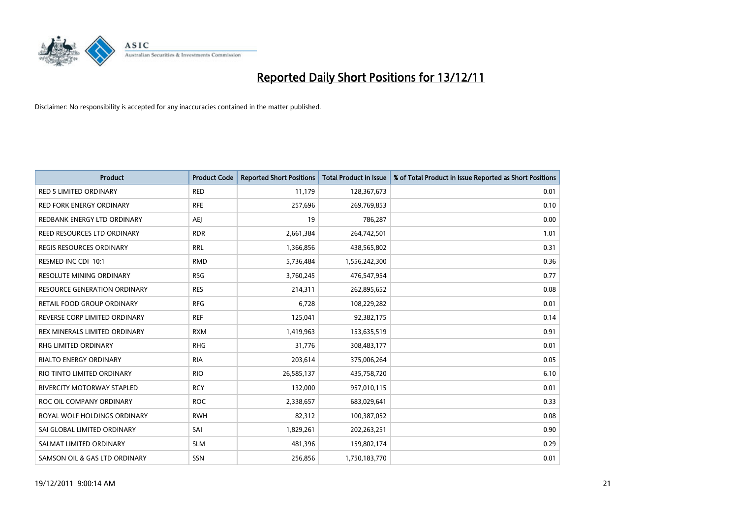

| <b>Product</b>                      | <b>Product Code</b> | <b>Reported Short Positions</b> | <b>Total Product in Issue</b> | % of Total Product in Issue Reported as Short Positions |
|-------------------------------------|---------------------|---------------------------------|-------------------------------|---------------------------------------------------------|
| <b>RED 5 LIMITED ORDINARY</b>       | <b>RED</b>          | 11,179                          | 128,367,673                   | 0.01                                                    |
| RED FORK ENERGY ORDINARY            | <b>RFE</b>          | 257,696                         | 269,769,853                   | 0.10                                                    |
| REDBANK ENERGY LTD ORDINARY         | AEJ                 | 19                              | 786,287                       | 0.00                                                    |
| REED RESOURCES LTD ORDINARY         | <b>RDR</b>          | 2,661,384                       | 264,742,501                   | 1.01                                                    |
| <b>REGIS RESOURCES ORDINARY</b>     | <b>RRL</b>          | 1,366,856                       | 438,565,802                   | 0.31                                                    |
| RESMED INC CDI 10:1                 | <b>RMD</b>          | 5,736,484                       | 1,556,242,300                 | 0.36                                                    |
| <b>RESOLUTE MINING ORDINARY</b>     | <b>RSG</b>          | 3,760,245                       | 476,547,954                   | 0.77                                                    |
| <b>RESOURCE GENERATION ORDINARY</b> | <b>RES</b>          | 214,311                         | 262,895,652                   | 0.08                                                    |
| RETAIL FOOD GROUP ORDINARY          | <b>RFG</b>          | 6,728                           | 108,229,282                   | 0.01                                                    |
| REVERSE CORP LIMITED ORDINARY       | <b>REF</b>          | 125,041                         | 92,382,175                    | 0.14                                                    |
| REX MINERALS LIMITED ORDINARY       | <b>RXM</b>          | 1,419,963                       | 153,635,519                   | 0.91                                                    |
| RHG LIMITED ORDINARY                | <b>RHG</b>          | 31,776                          | 308,483,177                   | 0.01                                                    |
| RIALTO ENERGY ORDINARY              | <b>RIA</b>          | 203,614                         | 375,006,264                   | 0.05                                                    |
| RIO TINTO LIMITED ORDINARY          | <b>RIO</b>          | 26,585,137                      | 435,758,720                   | 6.10                                                    |
| RIVERCITY MOTORWAY STAPLED          | <b>RCY</b>          | 132,000                         | 957,010,115                   | 0.01                                                    |
| ROC OIL COMPANY ORDINARY            | <b>ROC</b>          | 2,338,657                       | 683,029,641                   | 0.33                                                    |
| ROYAL WOLF HOLDINGS ORDINARY        | <b>RWH</b>          | 82,312                          | 100,387,052                   | 0.08                                                    |
| SAI GLOBAL LIMITED ORDINARY         | SAI                 | 1,829,261                       | 202,263,251                   | 0.90                                                    |
| SALMAT LIMITED ORDINARY             | <b>SLM</b>          | 481,396                         | 159,802,174                   | 0.29                                                    |
| SAMSON OIL & GAS LTD ORDINARY       | <b>SSN</b>          | 256.856                         | 1,750,183,770                 | 0.01                                                    |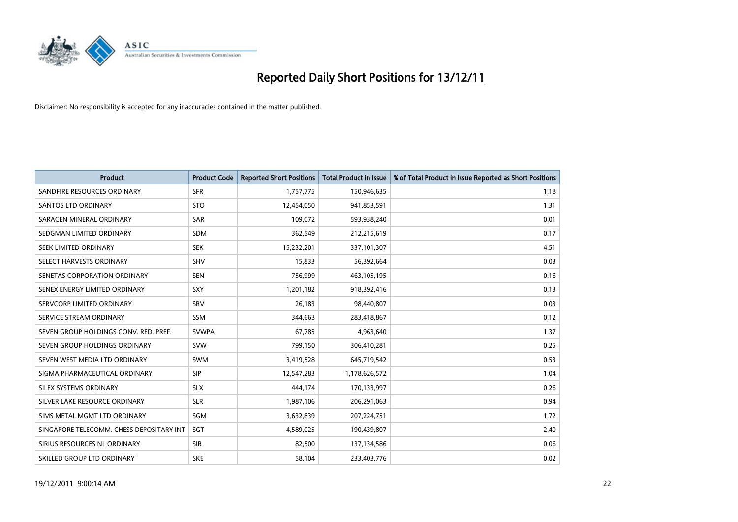

| <b>Product</b>                           | <b>Product Code</b> | <b>Reported Short Positions</b> | <b>Total Product in Issue</b> | % of Total Product in Issue Reported as Short Positions |
|------------------------------------------|---------------------|---------------------------------|-------------------------------|---------------------------------------------------------|
| SANDFIRE RESOURCES ORDINARY              | <b>SFR</b>          | 1,757,775                       | 150,946,635                   | 1.18                                                    |
| SANTOS LTD ORDINARY                      | <b>STO</b>          | 12,454,050                      | 941,853,591                   | 1.31                                                    |
| SARACEN MINERAL ORDINARY                 | SAR                 | 109,072                         | 593,938,240                   | 0.01                                                    |
| SEDGMAN LIMITED ORDINARY                 | <b>SDM</b>          | 362,549                         | 212,215,619                   | 0.17                                                    |
| SEEK LIMITED ORDINARY                    | <b>SEK</b>          | 15,232,201                      | 337,101,307                   | 4.51                                                    |
| SELECT HARVESTS ORDINARY                 | <b>SHV</b>          | 15,833                          | 56,392,664                    | 0.03                                                    |
| SENETAS CORPORATION ORDINARY             | <b>SEN</b>          | 756,999                         | 463,105,195                   | 0.16                                                    |
| SENEX ENERGY LIMITED ORDINARY            | <b>SXY</b>          | 1,201,182                       | 918,392,416                   | 0.13                                                    |
| SERVCORP LIMITED ORDINARY                | SRV                 | 26,183                          | 98,440,807                    | 0.03                                                    |
| SERVICE STREAM ORDINARY                  | <b>SSM</b>          | 344,663                         | 283,418,867                   | 0.12                                                    |
| SEVEN GROUP HOLDINGS CONV. RED. PREF.    | <b>SVWPA</b>        | 67,785                          | 4,963,640                     | 1.37                                                    |
| SEVEN GROUP HOLDINGS ORDINARY            | <b>SVW</b>          | 799,150                         | 306,410,281                   | 0.25                                                    |
| SEVEN WEST MEDIA LTD ORDINARY            | <b>SWM</b>          | 3,419,528                       | 645,719,542                   | 0.53                                                    |
| SIGMA PHARMACEUTICAL ORDINARY            | <b>SIP</b>          | 12,547,283                      | 1,178,626,572                 | 1.04                                                    |
| SILEX SYSTEMS ORDINARY                   | <b>SLX</b>          | 444.174                         | 170,133,997                   | 0.26                                                    |
| SILVER LAKE RESOURCE ORDINARY            | <b>SLR</b>          | 1,987,106                       | 206,291,063                   | 0.94                                                    |
| SIMS METAL MGMT LTD ORDINARY             | <b>SGM</b>          | 3,632,839                       | 207,224,751                   | 1.72                                                    |
| SINGAPORE TELECOMM. CHESS DEPOSITARY INT | <b>SGT</b>          | 4,589,025                       | 190,439,807                   | 2.40                                                    |
| SIRIUS RESOURCES NL ORDINARY             | <b>SIR</b>          | 82,500                          | 137,134,586                   | 0.06                                                    |
| SKILLED GROUP LTD ORDINARY               | <b>SKE</b>          | 58,104                          | 233,403,776                   | 0.02                                                    |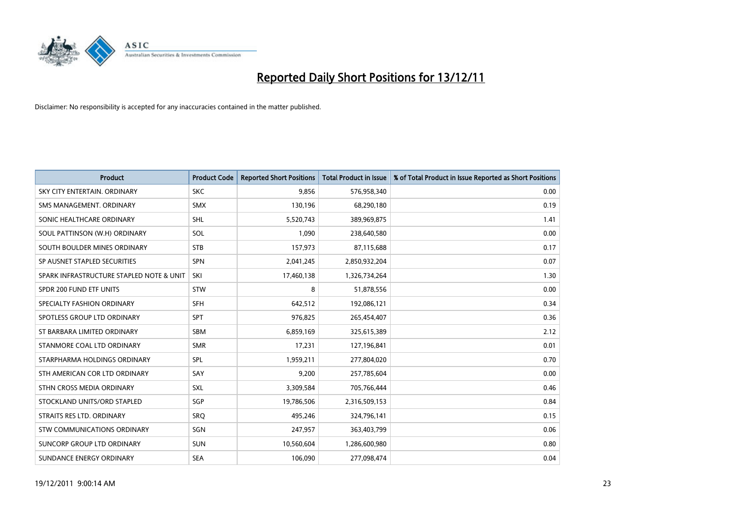

| <b>Product</b>                           | <b>Product Code</b> | <b>Reported Short Positions</b> | <b>Total Product in Issue</b> | % of Total Product in Issue Reported as Short Positions |
|------------------------------------------|---------------------|---------------------------------|-------------------------------|---------------------------------------------------------|
| SKY CITY ENTERTAIN, ORDINARY             | <b>SKC</b>          | 9,856                           | 576,958,340                   | 0.00                                                    |
| SMS MANAGEMENT, ORDINARY                 | <b>SMX</b>          | 130,196                         | 68,290,180                    | 0.19                                                    |
| SONIC HEALTHCARE ORDINARY                | <b>SHL</b>          | 5,520,743                       | 389,969,875                   | 1.41                                                    |
| SOUL PATTINSON (W.H) ORDINARY            | SOL                 | 1,090                           | 238,640,580                   | 0.00                                                    |
| SOUTH BOULDER MINES ORDINARY             | <b>STB</b>          | 157,973                         | 87,115,688                    | 0.17                                                    |
| SP AUSNET STAPLED SECURITIES             | <b>SPN</b>          | 2,041,245                       | 2,850,932,204                 | 0.07                                                    |
| SPARK INFRASTRUCTURE STAPLED NOTE & UNIT | SKI                 | 17,460,138                      | 1,326,734,264                 | 1.30                                                    |
| SPDR 200 FUND ETF UNITS                  | <b>STW</b>          | 8                               | 51,878,556                    | 0.00                                                    |
| SPECIALTY FASHION ORDINARY               | <b>SFH</b>          | 642,512                         | 192,086,121                   | 0.34                                                    |
| SPOTLESS GROUP LTD ORDINARY              | <b>SPT</b>          | 976,825                         | 265,454,407                   | 0.36                                                    |
| ST BARBARA LIMITED ORDINARY              | <b>SBM</b>          | 6,859,169                       | 325,615,389                   | 2.12                                                    |
| STANMORE COAL LTD ORDINARY               | <b>SMR</b>          | 17,231                          | 127,196,841                   | 0.01                                                    |
| STARPHARMA HOLDINGS ORDINARY             | <b>SPL</b>          | 1,959,211                       | 277,804,020                   | 0.70                                                    |
| STH AMERICAN COR LTD ORDINARY            | SAY                 | 9,200                           | 257,785,604                   | 0.00                                                    |
| STHN CROSS MEDIA ORDINARY                | <b>SXL</b>          | 3,309,584                       | 705,766,444                   | 0.46                                                    |
| STOCKLAND UNITS/ORD STAPLED              | SGP                 | 19,786,506                      | 2,316,509,153                 | 0.84                                                    |
| STRAITS RES LTD. ORDINARY                | SRO                 | 495,246                         | 324,796,141                   | 0.15                                                    |
| STW COMMUNICATIONS ORDINARY              | SGN                 | 247,957                         | 363,403,799                   | 0.06                                                    |
| SUNCORP GROUP LTD ORDINARY               | <b>SUN</b>          | 10,560,604                      | 1,286,600,980                 | 0.80                                                    |
| SUNDANCE ENERGY ORDINARY                 | <b>SEA</b>          | 106,090                         | 277,098,474                   | 0.04                                                    |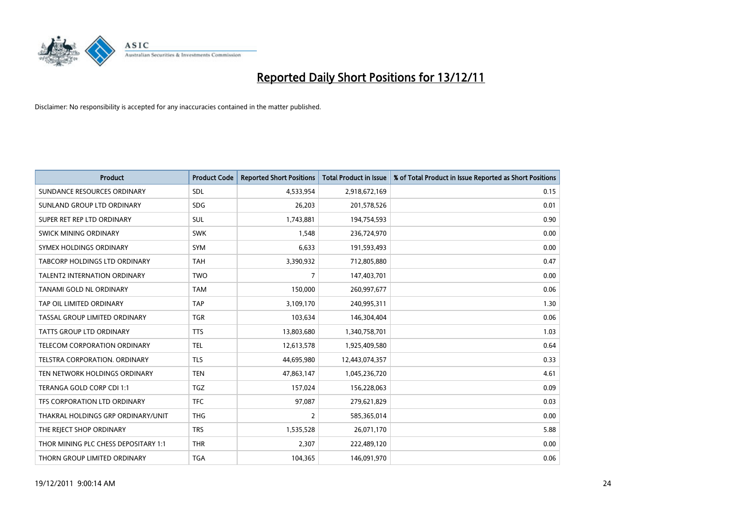

| <b>Product</b>                       | <b>Product Code</b> | <b>Reported Short Positions</b> | <b>Total Product in Issue</b> | % of Total Product in Issue Reported as Short Positions |
|--------------------------------------|---------------------|---------------------------------|-------------------------------|---------------------------------------------------------|
| SUNDANCE RESOURCES ORDINARY          | <b>SDL</b>          | 4,533,954                       | 2,918,672,169                 | 0.15                                                    |
| SUNLAND GROUP LTD ORDINARY           | <b>SDG</b>          | 26,203                          | 201,578,526                   | 0.01                                                    |
| SUPER RET REP LTD ORDINARY           | <b>SUL</b>          | 1,743,881                       | 194,754,593                   | 0.90                                                    |
| SWICK MINING ORDINARY                | <b>SWK</b>          | 1,548                           | 236,724,970                   | 0.00                                                    |
| SYMEX HOLDINGS ORDINARY              | <b>SYM</b>          | 6,633                           | 191,593,493                   | 0.00                                                    |
| TABCORP HOLDINGS LTD ORDINARY        | <b>TAH</b>          | 3,390,932                       | 712,805,880                   | 0.47                                                    |
| <b>TALENT2 INTERNATION ORDINARY</b>  | <b>TWO</b>          | 7                               | 147,403,701                   | 0.00                                                    |
| TANAMI GOLD NL ORDINARY              | <b>TAM</b>          | 150,000                         | 260,997,677                   | 0.06                                                    |
| TAP OIL LIMITED ORDINARY             | <b>TAP</b>          | 3,109,170                       | 240,995,311                   | 1.30                                                    |
| TASSAL GROUP LIMITED ORDINARY        | <b>TGR</b>          | 103,634                         | 146,304,404                   | 0.06                                                    |
| <b>TATTS GROUP LTD ORDINARY</b>      | <b>TTS</b>          | 13,803,680                      | 1,340,758,701                 | 1.03                                                    |
| TELECOM CORPORATION ORDINARY         | <b>TEL</b>          | 12,613,578                      | 1,925,409,580                 | 0.64                                                    |
| <b>TELSTRA CORPORATION, ORDINARY</b> | <b>TLS</b>          | 44,695,980                      | 12,443,074,357                | 0.33                                                    |
| TEN NETWORK HOLDINGS ORDINARY        | <b>TEN</b>          | 47,863,147                      | 1,045,236,720                 | 4.61                                                    |
| TERANGA GOLD CORP CDI 1:1            | <b>TGZ</b>          | 157,024                         | 156,228,063                   | 0.09                                                    |
| TFS CORPORATION LTD ORDINARY         | <b>TFC</b>          | 97,087                          | 279,621,829                   | 0.03                                                    |
| THAKRAL HOLDINGS GRP ORDINARY/UNIT   | <b>THG</b>          | 2                               | 585,365,014                   | 0.00                                                    |
| THE REJECT SHOP ORDINARY             | <b>TRS</b>          | 1,535,528                       | 26,071,170                    | 5.88                                                    |
| THOR MINING PLC CHESS DEPOSITARY 1:1 | <b>THR</b>          | 2,307                           | 222,489,120                   | 0.00                                                    |
| THORN GROUP LIMITED ORDINARY         | <b>TGA</b>          | 104,365                         | 146,091,970                   | 0.06                                                    |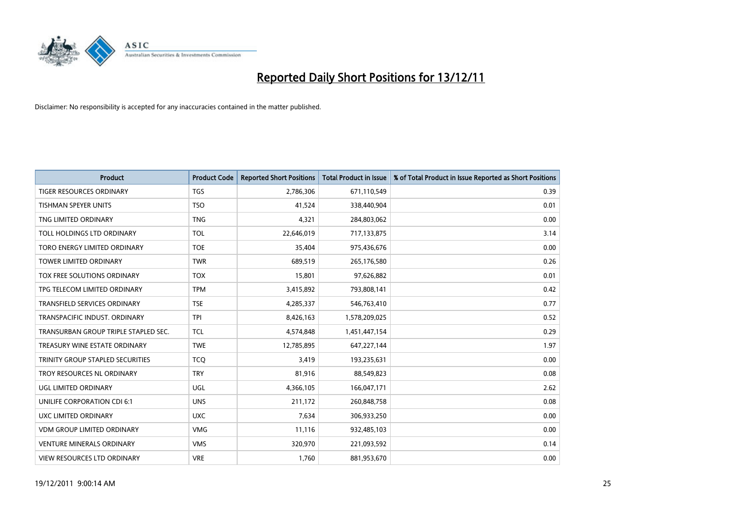

| <b>Product</b>                          | <b>Product Code</b> | <b>Reported Short Positions</b> | <b>Total Product in Issue</b> | % of Total Product in Issue Reported as Short Positions |
|-----------------------------------------|---------------------|---------------------------------|-------------------------------|---------------------------------------------------------|
| <b>TIGER RESOURCES ORDINARY</b>         | <b>TGS</b>          | 2,786,306                       | 671,110,549                   | 0.39                                                    |
| <b>TISHMAN SPEYER UNITS</b>             | <b>TSO</b>          | 41,524                          | 338,440,904                   | 0.01                                                    |
| TNG LIMITED ORDINARY                    | <b>TNG</b>          | 4,321                           | 284,803,062                   | 0.00                                                    |
| TOLL HOLDINGS LTD ORDINARY              | <b>TOL</b>          | 22,646,019                      | 717,133,875                   | 3.14                                                    |
| TORO ENERGY LIMITED ORDINARY            | <b>TOE</b>          | 35,404                          | 975,436,676                   | 0.00                                                    |
| <b>TOWER LIMITED ORDINARY</b>           | <b>TWR</b>          | 689,519                         | 265,176,580                   | 0.26                                                    |
| TOX FREE SOLUTIONS ORDINARY             | <b>TOX</b>          | 15,801                          | 97,626,882                    | 0.01                                                    |
| TPG TELECOM LIMITED ORDINARY            | <b>TPM</b>          | 3,415,892                       | 793,808,141                   | 0.42                                                    |
| TRANSFIELD SERVICES ORDINARY            | <b>TSE</b>          | 4,285,337                       | 546,763,410                   | 0.77                                                    |
| TRANSPACIFIC INDUST, ORDINARY           | <b>TPI</b>          | 8,426,163                       | 1,578,209,025                 | 0.52                                                    |
| TRANSURBAN GROUP TRIPLE STAPLED SEC.    | <b>TCL</b>          | 4,574,848                       | 1,451,447,154                 | 0.29                                                    |
| TREASURY WINE ESTATE ORDINARY           | <b>TWE</b>          | 12,785,895                      | 647,227,144                   | 1.97                                                    |
| <b>TRINITY GROUP STAPLED SECURITIES</b> | <b>TCQ</b>          | 3.419                           | 193,235,631                   | 0.00                                                    |
| <b>TROY RESOURCES NL ORDINARY</b>       | <b>TRY</b>          | 81,916                          | 88,549,823                    | 0.08                                                    |
| UGL LIMITED ORDINARY                    | UGL                 | 4,366,105                       | 166,047,171                   | 2.62                                                    |
| UNILIFE CORPORATION CDI 6:1             | <b>UNS</b>          | 211,172                         | 260,848,758                   | 0.08                                                    |
| UXC LIMITED ORDINARY                    | <b>UXC</b>          | 7,634                           | 306,933,250                   | 0.00                                                    |
| <b>VDM GROUP LIMITED ORDINARY</b>       | <b>VMG</b>          | 11,116                          | 932,485,103                   | 0.00                                                    |
| <b>VENTURE MINERALS ORDINARY</b>        | <b>VMS</b>          | 320,970                         | 221,093,592                   | 0.14                                                    |
| <b>VIEW RESOURCES LTD ORDINARY</b>      | <b>VRE</b>          | 1,760                           | 881,953,670                   | 0.00                                                    |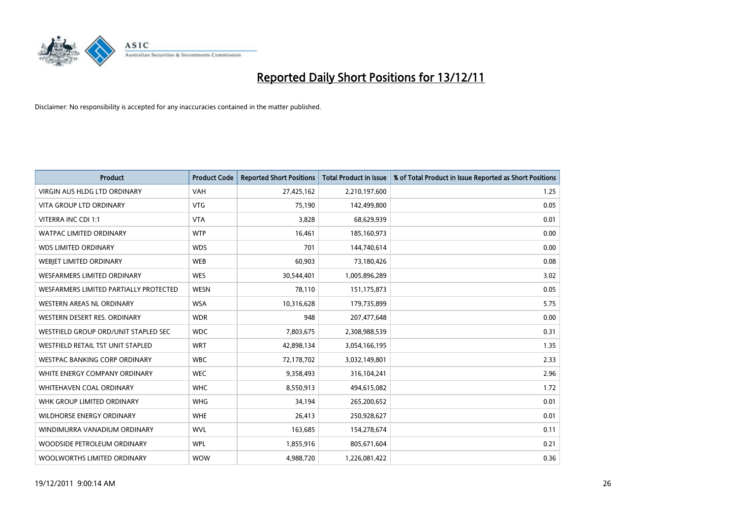

| <b>Product</b>                         | <b>Product Code</b> | <b>Reported Short Positions</b> | <b>Total Product in Issue</b> | % of Total Product in Issue Reported as Short Positions |
|----------------------------------------|---------------------|---------------------------------|-------------------------------|---------------------------------------------------------|
| <b>VIRGIN AUS HLDG LTD ORDINARY</b>    | <b>VAH</b>          | 27,425,162                      | 2,210,197,600                 | 1.25                                                    |
| <b>VITA GROUP LTD ORDINARY</b>         | <b>VTG</b>          | 75,190                          | 142,499,800                   | 0.05                                                    |
| VITERRA INC CDI 1:1                    | <b>VTA</b>          | 3,828                           | 68,629,939                    | 0.01                                                    |
| <b>WATPAC LIMITED ORDINARY</b>         | <b>WTP</b>          | 16,461                          | 185,160,973                   | 0.00                                                    |
| <b>WDS LIMITED ORDINARY</b>            | <b>WDS</b>          | 701                             | 144,740,614                   | 0.00                                                    |
| WEBJET LIMITED ORDINARY                | <b>WEB</b>          | 60,903                          | 73,180,426                    | 0.08                                                    |
| <b>WESFARMERS LIMITED ORDINARY</b>     | <b>WES</b>          | 30,544,401                      | 1,005,896,289                 | 3.02                                                    |
| WESFARMERS LIMITED PARTIALLY PROTECTED | <b>WESN</b>         | 78,110                          | 151, 175, 873                 | 0.05                                                    |
| WESTERN AREAS NL ORDINARY              | <b>WSA</b>          | 10,316,628                      | 179,735,899                   | 5.75                                                    |
| WESTERN DESERT RES. ORDINARY           | <b>WDR</b>          | 948                             | 207,477,648                   | 0.00                                                    |
| WESTFIELD GROUP ORD/UNIT STAPLED SEC   | <b>WDC</b>          | 7,803,675                       | 2,308,988,539                 | 0.31                                                    |
| WESTFIELD RETAIL TST UNIT STAPLED      | <b>WRT</b>          | 42,898,134                      | 3,054,166,195                 | 1.35                                                    |
| <b>WESTPAC BANKING CORP ORDINARY</b>   | <b>WBC</b>          | 72,178,702                      | 3,032,149,801                 | 2.33                                                    |
| WHITE ENERGY COMPANY ORDINARY          | <b>WEC</b>          | 9,358,493                       | 316,104,241                   | 2.96                                                    |
| <b>WHITEHAVEN COAL ORDINARY</b>        | <b>WHC</b>          | 8,550,913                       | 494,615,082                   | 1.72                                                    |
| WHK GROUP LIMITED ORDINARY             | <b>WHG</b>          | 34,194                          | 265,200,652                   | 0.01                                                    |
| WILDHORSE ENERGY ORDINARY              | <b>WHE</b>          | 26,413                          | 250,928,627                   | 0.01                                                    |
| WINDIMURRA VANADIUM ORDINARY           | <b>WVL</b>          | 163,685                         | 154,278,674                   | 0.11                                                    |
| WOODSIDE PETROLEUM ORDINARY            | <b>WPL</b>          | 1,855,916                       | 805,671,604                   | 0.21                                                    |
| WOOLWORTHS LIMITED ORDINARY            | <b>WOW</b>          | 4,988,720                       | 1,226,081,422                 | 0.36                                                    |